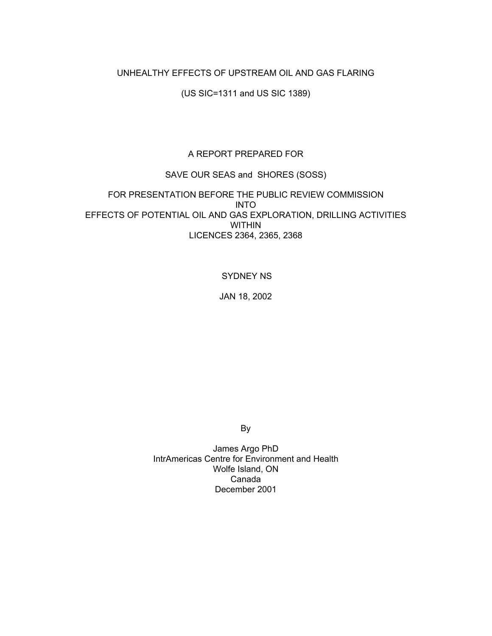## UNHEALTHY EFFECTS OF UPSTREAM OIL AND GAS FLARING

(US SIC=1311 and US SIC 1389)

## A REPORT PREPARED FOR

## SAVE OUR SEAS and SHORES (SOSS)

## FOR PRESENTATION BEFORE THE PUBLIC REVIEW COMMISSION INTO EFFECTS OF POTENTIAL OIL AND GAS EXPLORATION, DRILLING ACTIVITIES WITHIN LICENCES 2364, 2365, 2368

### SYDNEY NS

JAN 18, 2002

By

James Argo PhD IntrAmericas Centre for Environment and Health Wolfe Island, ON Canada December 2001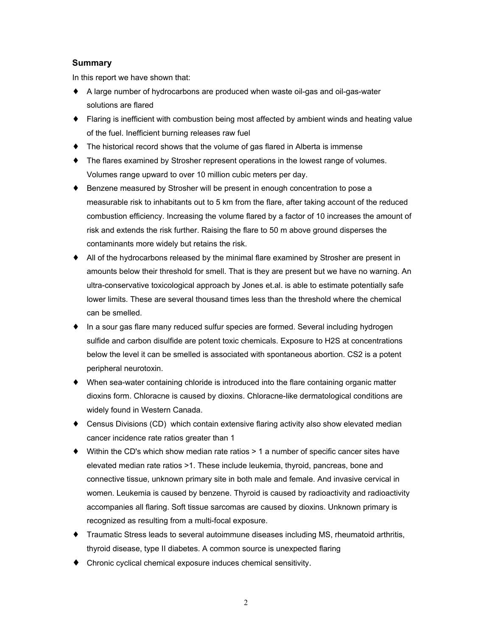## **Summary**

In this report we have shown that:

- ♦ A large number of hydrocarbons are produced when waste oil-gas and oil-gas-water solutions are flared
- ♦ Flaring is inefficient with combustion being most affected by ambient winds and heating value of the fuel. Inefficient burning releases raw fuel
- ♦ The historical record shows that the volume of gas flared in Alberta is immense
- The flares examined by Strosher represent operations in the lowest range of volumes. Volumes range upward to over 10 million cubic meters per day.
- ♦ Benzene measured by Strosher will be present in enough concentration to pose a measurable risk to inhabitants out to 5 km from the flare, after taking account of the reduced combustion efficiency. Increasing the volume flared by a factor of 10 increases the amount of risk and extends the risk further. Raising the flare to 50 m above ground disperses the contaminants more widely but retains the risk.
- ♦ All of the hydrocarbons released by the minimal flare examined by Strosher are present in amounts below their threshold for smell. That is they are present but we have no warning. An ultra-conservative toxicological approach by Jones et.al. is able to estimate potentially safe lower limits. These are several thousand times less than the threshold where the chemical can be smelled.
- ♦ In a sour gas flare many reduced sulfur species are formed. Several including hydrogen sulfide and carbon disulfide are potent toxic chemicals. Exposure to H2S at concentrations below the level it can be smelled is associated with spontaneous abortion. CS2 is a potent peripheral neurotoxin.
- ♦ When sea-water containing chloride is introduced into the flare containing organic matter dioxins form. Chloracne is caused by dioxins. Chloracne-like dermatological conditions are widely found in Western Canada.
- ♦ Census Divisions (CD) which contain extensive flaring activity also show elevated median cancer incidence rate ratios greater than 1
- ♦ Within the CD's which show median rate ratios > 1 a number of specific cancer sites have elevated median rate ratios >1. These include leukemia, thyroid, pancreas, bone and connective tissue, unknown primary site in both male and female. And invasive cervical in women. Leukemia is caused by benzene. Thyroid is caused by radioactivity and radioactivity accompanies all flaring. Soft tissue sarcomas are caused by dioxins. Unknown primary is recognized as resulting from a multi-focal exposure.
- Traumatic Stress leads to several autoimmune diseases including MS, rheumatoid arthritis, thyroid disease, type II diabetes. A common source is unexpected flaring
- ♦ Chronic cyclical chemical exposure induces chemical sensitivity.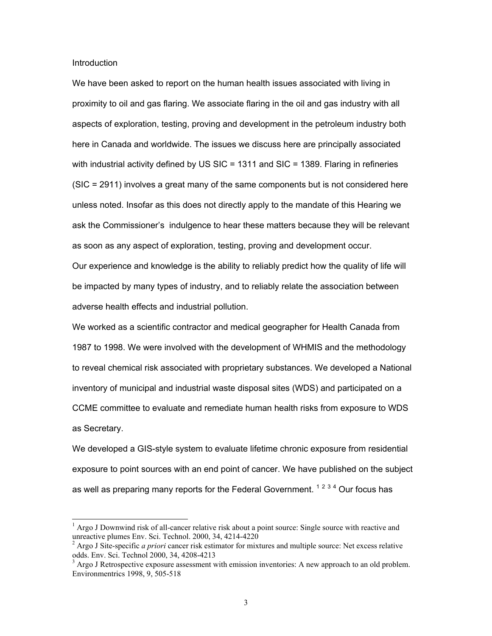**Introduction** 

 $\overline{a}$ 

We have been asked to report on the human health issues associated with living in proximity to oil and gas flaring. We associate flaring in the oil and gas industry with all aspects of exploration, testing, proving and development in the petroleum industry both here in Canada and worldwide. The issues we discuss here are principally associated with industrial activity defined by US  $SIC = 1311$  and  $SIC = 1389$ . Flaring in refineries (SIC = 2911) involves a great many of the same components but is not considered here unless noted. Insofar as this does not directly apply to the mandate of this Hearing we ask the Commissioner's indulgence to hear these matters because they will be relevant as soon as any aspect of exploration, testing, proving and development occur. Our experience and knowledge is the ability to reliably predict how the quality of life will

be impacted by many types of industry, and to reliably relate the association between adverse health effects and industrial pollution.

We worked as a scientific contractor and medical geographer for Health Canada from 1987 to 1998. We were involved with the development of WHMIS and the methodology to reveal chemical risk associated with proprietary substances. We developed a National inventory of municipal and industrial waste disposal sites (WDS) and participated on a CCME committee to evaluate and remediate human health risks from exposure to WDS as Secretary.

We developed a GIS-style system to evaluate lifetime chronic exposure from residential exposure to point sources with an end point of cancer. We have published on the subject as well as preparing many reports for the Federal Government. <sup>1234</sup> Our focus has

 $<sup>1</sup>$  Argo J Downwind risk of all-cancer relative risk about a point source: Single source with reactive and</sup> unreactive plumes Env. Sci. Technol. 2000, 34, 4214-4220

<sup>2</sup> Argo J Site-specific *a priori* cancer risk estimator for mixtures and multiple source: Net excess relative odds. Env. Sci. Technol 2000, 34, 4208-4213<br><sup>3</sup> Argo J Retrospective exposure assessment with emission inventories: A new approach to an old problem.

Environmentrics 1998, 9, 505-518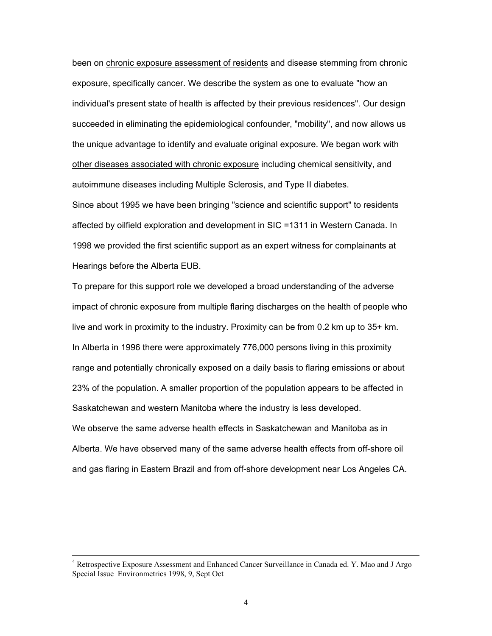been on chronic exposure assessment of residents and disease stemming from chronic exposure, specifically cancer. We describe the system as one to evaluate "how an individual's present state of health is affected by their previous residences". Our design succeeded in eliminating the epidemiological confounder, "mobility", and now allows us the unique advantage to identify and evaluate original exposure. We began work with other diseases associated with chronic exposure including chemical sensitivity, and autoimmune diseases including Multiple Sclerosis, and Type II diabetes.

Since about 1995 we have been bringing "science and scientific support" to residents affected by oilfield exploration and development in SIC =1311 in Western Canada. In 1998 we provided the first scientific support as an expert witness for complainants at Hearings before the Alberta EUB.

To prepare for this support role we developed a broad understanding of the adverse impact of chronic exposure from multiple flaring discharges on the health of people who live and work in proximity to the industry. Proximity can be from 0.2 km up to 35+ km. In Alberta in 1996 there were approximately 776,000 persons living in this proximity range and potentially chronically exposed on a daily basis to flaring emissions or about 23% of the population. A smaller proportion of the population appears to be affected in Saskatchewan and western Manitoba where the industry is less developed. We observe the same adverse health effects in Saskatchewan and Manitoba as in Alberta. We have observed many of the same adverse health effects from off-shore oil and gas flaring in Eastern Brazil and from off-shore development near Los Angeles CA.

<sup>&</sup>lt;sup>4</sup> Retrospective Exposure Assessment and Enhanced Cancer Surveillance in Canada ed. Y. Mao and J Argo Special Issue Environmetrics 1998, 9, Sept Oct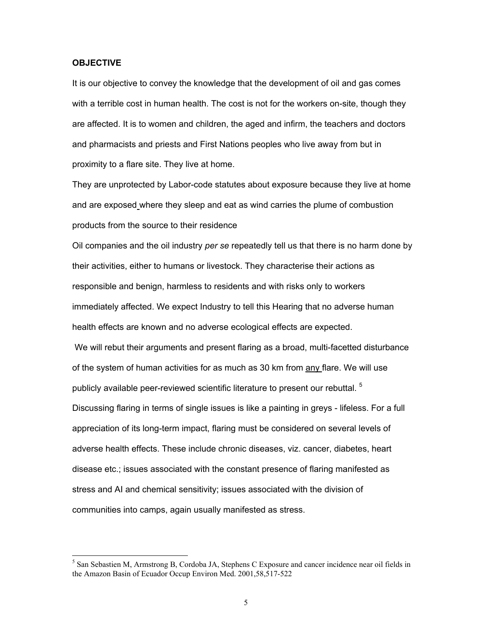#### **OBJECTIVE**

 $\overline{a}$ 

It is our objective to convey the knowledge that the development of oil and gas comes with a terrible cost in human health. The cost is not for the workers on-site, though they are affected. It is to women and children, the aged and infirm, the teachers and doctors and pharmacists and priests and First Nations peoples who live away from but in proximity to a flare site. They live at home.

They are unprotected by Labor-code statutes about exposure because they live at home and are exposed where they sleep and eat as wind carries the plume of combustion products from the source to their residence

Oil companies and the oil industry *per se* repeatedly tell us that there is no harm done by their activities, either to humans or livestock. They characterise their actions as responsible and benign, harmless to residents and with risks only to workers immediately affected. We expect Industry to tell this Hearing that no adverse human health effects are known and no adverse ecological effects are expected. We will rebut their arguments and present flaring as a broad, multi-facetted disturbance of the system of human activities for as much as 30 km from any flare. We will use publicly available peer-reviewed scientific literature to present our rebuttal.  $5$ Discussing flaring in terms of single issues is like a painting in greys - lifeless. For a full appreciation of its long-term impact, flaring must be considered on several levels of adverse health effects. These include chronic diseases, viz. cancer, diabetes, heart

disease etc.; issues associated with the constant presence of flaring manifested as stress and AI and chemical sensitivity; issues associated with the division of communities into camps, again usually manifested as stress.

<sup>&</sup>lt;sup>5</sup> San Sebastien M, Armstrong B, Cordoba JA, Stephens C Exposure and cancer incidence near oil fields in the Amazon Basin of Ecuador Occup Environ Med. 2001,58,517-522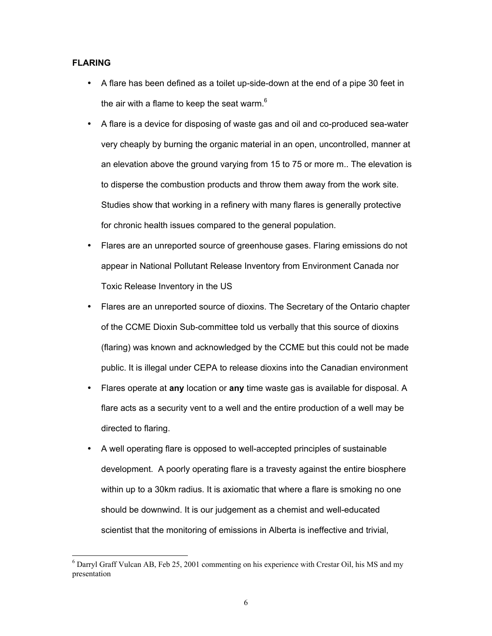## **FLARING**

- A flare has been defined as a toilet up-side-down at the end of a pipe 30 feet in the air with a flame to keep the seat warm. $6$
- A flare is a device for disposing of waste gas and oil and co-produced sea-water very cheaply by burning the organic material in an open, uncontrolled, manner at an elevation above the ground varying from 15 to 75 or more m.. The elevation is to disperse the combustion products and throw them away from the work site. Studies show that working in a refinery with many flares is generally protective for chronic health issues compared to the general population.
- Flares are an unreported source of greenhouse gases. Flaring emissions do not appear in National Pollutant Release Inventory from Environment Canada nor Toxic Release Inventory in the US
- Flares are an unreported source of dioxins. The Secretary of the Ontario chapter of the CCME Dioxin Sub-committee told us verbally that this source of dioxins (flaring) was known and acknowledged by the CCME but this could not be made public. It is illegal under CEPA to release dioxins into the Canadian environment
- Flares operate at **any** location or **any** time waste gas is available for disposal. A flare acts as a security vent to a well and the entire production of a well may be directed to flaring.
- A well operating flare is opposed to well-accepted principles of sustainable development. A poorly operating flare is a travesty against the entire biosphere within up to a 30km radius. It is axiomatic that where a flare is smoking no one should be downwind. It is our judgement as a chemist and well-educated scientist that the monitoring of emissions in Alberta is ineffective and trivial,

 $6$  Darryl Graff Vulcan AB, Feb 25, 2001 commenting on his experience with Crestar Oil, his MS and my presentation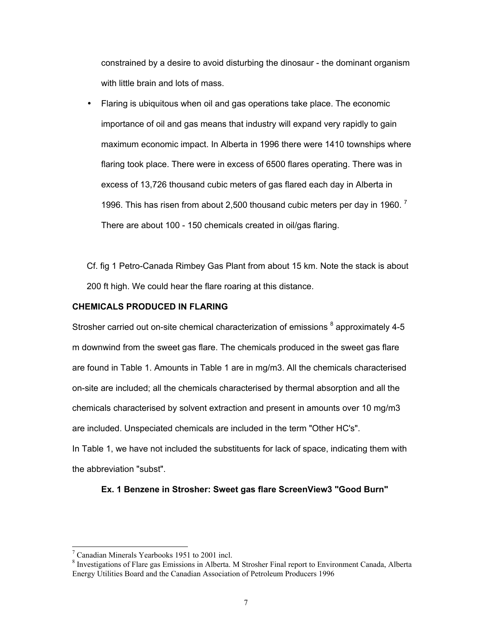constrained by a desire to avoid disturbing the dinosaur - the dominant organism with little brain and lots of mass.

• Flaring is ubiquitous when oil and gas operations take place. The economic importance of oil and gas means that industry will expand very rapidly to gain maximum economic impact. In Alberta in 1996 there were 1410 townships where flaring took place. There were in excess of 6500 flares operating. There was in excess of 13,726 thousand cubic meters of gas flared each day in Alberta in 1996. This has risen from about 2,500 thousand cubic meters per day in 1960.<sup>7</sup> There are about 100 - 150 chemicals created in oil/gas flaring.

Cf. fig 1 Petro-Canada Rimbey Gas Plant from about 15 km. Note the stack is about 200 ft high. We could hear the flare roaring at this distance.

## **CHEMICALS PRODUCED IN FLARING**

Strosher carried out on-site chemical characterization of emissions <sup>8</sup> approximately 4-5 m downwind from the sweet gas flare. The chemicals produced in the sweet gas flare are found in Table 1. Amounts in Table 1 are in mg/m3. All the chemicals characterised on-site are included; all the chemicals characterised by thermal absorption and all the chemicals characterised by solvent extraction and present in amounts over 10 mg/m3 are included. Unspeciated chemicals are included in the term "Other HC's".

In Table 1, we have not included the substituents for lack of space, indicating them with the abbreviation "subst".

#### **Ex. 1 Benzene in Strosher: Sweet gas flare ScreenView3 "Good Burn"**

<sup>7</sup> Canadian Minerals Yearbooks 1951 to 2001 incl.

<sup>&</sup>lt;sup>8</sup> Investigations of Flare gas Emissions in Alberta. M Strosher Final report to Environment Canada, Alberta Energy Utilities Board and the Canadian Association of Petroleum Producers 1996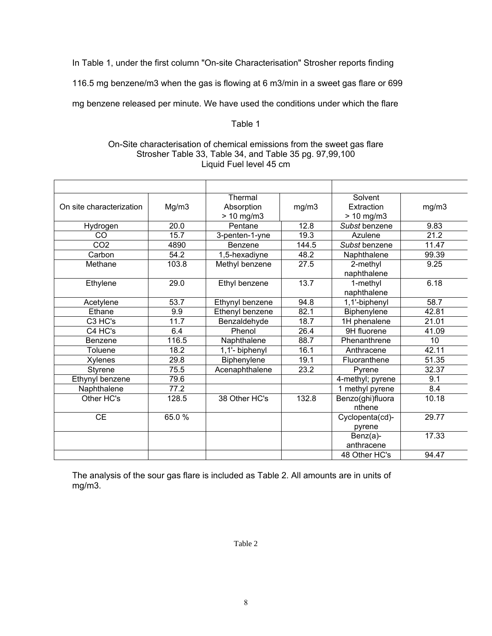In Table 1, under the first column "On-site Characterisation" Strosher reports finding

116.5 mg benzene/m3 when the gas is flowing at 6 m3/min in a sweet gas flare or 699

mg benzene released per minute. We have used the conditions under which the flare

## Table 1

## On-Site characterisation of chemical emissions from the sweet gas flare Strosher Table 33, Table 34, and Table 35 pg. 97,99,100 Liquid Fuel level 45 cm

| On site characterization | Mg/m3 | Thermal<br>Absorption<br>$> 10$ mg/m3 | mg/m3 | Solvent<br>Extraction<br>$> 10$ mg/m3 | mg/m3 |
|--------------------------|-------|---------------------------------------|-------|---------------------------------------|-------|
| Hydrogen                 | 20.0  | Pentane                               | 12.8  | Subst benzene                         | 9.83  |
| CO                       | 15.7  | 3-penten-1-yne                        | 19.3  | Azulene                               | 21.2  |
| CO <sub>2</sub>          | 4890  | Benzene                               | 144.5 | Subst benzene                         | 11.47 |
| Carbon                   | 54.2  | 1,5-hexadiyne                         | 48.2  | Naphthalene                           | 99.39 |
| Methane                  | 103.8 | Methyl benzene                        | 27.5  | 2-methyl<br>naphthalene               | 9.25  |
| Ethylene                 | 29.0  | Ethyl benzene                         | 13.7  | 1-methyl<br>naphthalene               | 6.18  |
| Acetylene                | 53.7  | Ethynyl benzene                       | 94.8  | 1,1'-biphenyl                         | 58.7  |
| Ethane                   | 9.9   | Ethenyl benzene                       | 82.1  | Biphenylene                           | 42.81 |
| C3 HC's                  | 11.7  | Benzaldehyde                          | 18.7  | 1H phenalene                          | 21.01 |
| C4 HC's                  | 6.4   | Phenol                                | 26.4  | 9H fluorene                           | 41.09 |
| Benzene                  | 116.5 | Naphthalene                           | 88.7  | Phenanthrene                          | 10    |
| Toluene                  | 18.2  | 1,1'- biphenyl                        | 16.1  | Anthracene                            | 42.11 |
| Xylenes                  | 29.8  | Biphenylene                           | 19.1  | Fluoranthene                          | 51.35 |
| <b>Styrene</b>           | 75.5  | Acenaphthalene                        | 23.2  | Pyrene                                | 32.37 |
| Ethynyl benzene          | 79.6  |                                       |       | 4-methyl; pyrene                      | 9.1   |
| Naphthalene              | 77.2  |                                       |       | 1 methyl pyrene                       | 8.4   |
| Other HC's               | 128.5 | 38 Other HC's                         | 132.8 | Benzo(ghi)fluora<br>nthene            | 10.18 |
| <b>CE</b>                | 65.0% |                                       |       | Cyclopenta(cd)-<br>pyrene             | 29.77 |
|                          |       |                                       |       | Benz(a)-<br>anthracene                | 17.33 |
|                          |       |                                       |       | 48 Other HC's                         | 94.47 |

The analysis of the sour gas flare is included as Table 2. All amounts are in units of mg/m3.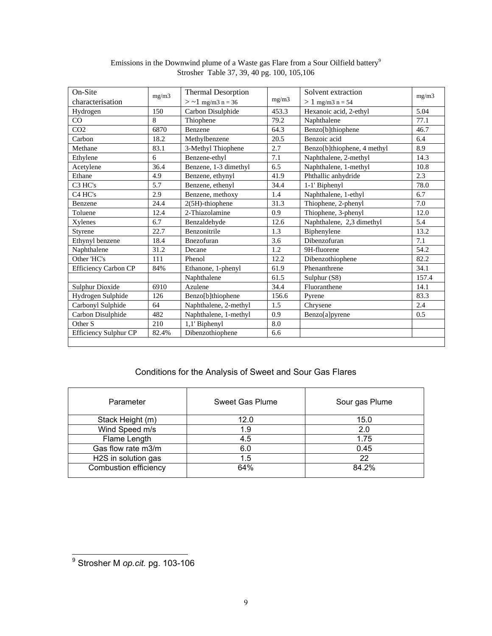| On-Site               | mg/m3 | <b>Thermal Desorption</b> |       | Solvent extraction<br>mg/m3 |       |
|-----------------------|-------|---------------------------|-------|-----------------------------|-------|
| characterisation      |       | $>$ ~1 mg/m3 n = 36       | mg/m3 | $> 1$ mg/m3 n = 54          |       |
| Hydrogen              | 150   | Carbon Disulphide         | 453.3 | Hexanoic acid, 2-ethyl      | 5.04  |
| CO                    | 8     | Thiophene                 | 79.2  | Naphthalene                 | 77.1  |
| CO <sub>2</sub>       | 6870  | Benzene                   | 64.3  | Benzo[b]thiophene           | 46.7  |
| Carbon                | 18.2  | Methylbenzene             | 20.5  | Benzoic acid                | 6.4   |
| Methane               | 83.1  | 3-Methyl Thiophene        | 2.7   | Benzo[b]thiophene, 4 methyl | 8.9   |
| Ethylene              | 6     | Benzene-ethyl             | 7.1   | Naphthalene, 2-methyl       | 14.3  |
| Acetylene             | 36.4  | Benzene, 1-3 dimethyl     | 6.5   | Naphthalene, 1-methyl       | 10.8  |
| Ethane                | 4.9   | Benzene, ethynyl          | 41.9  | Phthallic anhydride         | 2.3   |
| C <sub>3</sub> HC's   | 5.7   | Benzene, ethenyl          | 34.4  | 1-1' Biphenyl               | 78.0  |
| C <sub>4</sub> HC's   | 2.9   | Benzene, methoxy          | 1.4   | Naphthalene, 1-ethyl        | 6.7   |
| Benzene               | 24.4  | $2(5H)$ -thiophene        | 31.3  | Thiophene, 2-phenyl         | 7.0   |
| Toluene               | 12.4  | 2-Thiazolamine            | 0.9   | Thiophene, 3-phenyl         | 12.0  |
| Xylenes               | 6.7   | Benzaldehyde              | 12.6  | Naphthalene, 2,3 dimethyl   | 5.4   |
| <b>Styrene</b>        | 22.7  | Benzonitrile              | 1.3   | Biphenylene                 | 13.2  |
| Ethynyl benzene       | 18.4  | Bnezofuran                | 3.6   | Dibenzofuran                | 7.1   |
| Naphthalene           | 31.2  | Decane                    | 1.2   | 9H-fluorene                 | 54.2  |
| Other 'HC's           | 111   | Phenol                    | 12.2  | Dibenzothiophene            | 82.2  |
| Efficiency Carbon CP  | 84%   | Ethanone, 1-phenyl        | 61.9  | Phenanthrene                | 34.1  |
|                       |       | Naphthalene               | 61.5  | Sulphur (S8)                | 157.4 |
| Sulphur Dioxide       | 6910  | Azulene                   | 34.4  | Fluoranthene                | 14.1  |
| Hydrogen Sulphide     | 126   | Benzo[b]thiophene         | 156.6 | Pyrene                      | 83.3  |
| Carbonyl Sulphide     | 64    | Naphthalene, 2-methyl     | 1.5   | Chrysene                    | 2.4   |
| Carbon Disulphide     | 482   | Naphthalene, 1-methyl     | 0.9   | Benzo[a]pyrene              | 0.5   |
| Other <sub>S</sub>    | 210   | 1,1' Biphenyl             | 8.0   |                             |       |
| Efficiency Sulphur CP | 82.4% | Dibenzothiophene          | 6.6   |                             |       |
|                       |       |                           |       |                             |       |

#### Emissions in the Downwind plume of a Waste gas Flare from a Sour Oilfield battery<sup>9</sup> Strosher Table 37, 39, 40 pg. 100, 105,106

## Conditions for the Analysis of Sweet and Sour Gas Flares

| Parameter             | Sweet Gas Plume | Sour gas Plume |
|-----------------------|-----------------|----------------|
| Stack Height (m)      | 12.0            | 15.0           |
| Wind Speed m/s        | 1.9             | 2.0            |
| Flame Length          | 4.5             | 1.75           |
| Gas flow rate m3/m    | 6.0             | 0.45           |
| H2S in solution gas   | 1.5             | 22             |
| Combustion efficiency | 64%             | 84.2%          |

 $\overline{\phantom{a}}$ 

 9 Strosher M *op.cit.* pg. 103-106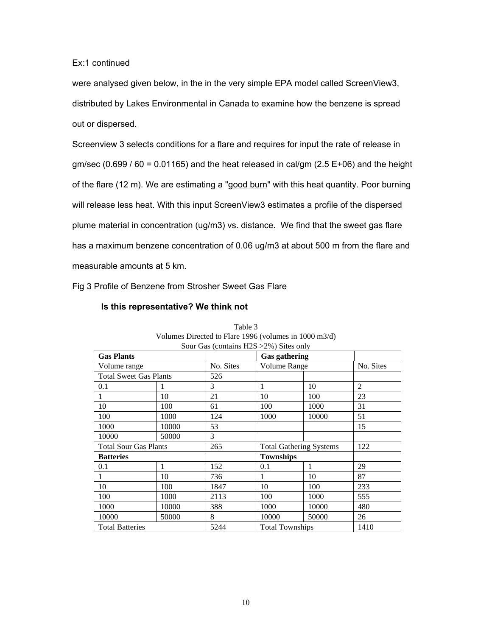## Ex:1 continued

were analysed given below, in the in the very simple EPA model called ScreenView3, distributed by Lakes Environmental in Canada to examine how the benzene is spread out or dispersed.

Screenview 3 selects conditions for a flare and requires for input the rate of release in  $gm/sec (0.699 / 60 = 0.01165)$  and the heat released in cal/gm (2.5 E+06) and the height of the flare (12 m). We are estimating a "good burn" with this heat quantity. Poor burning will release less heat. With this input ScreenView3 estimates a profile of the dispersed plume material in concentration (ug/m3) vs. distance. We find that the sweet gas flare has a maximum benzene concentration of 0.06 ug/m3 at about 500 m from the flare and measurable amounts at 5 km.

Fig 3 Profile of Benzene from Strosher Sweet Gas Flare

### **Is this representative? We think not**

| Sour Gas (contains H2S > 2%) Sites only |       |           |                                |       |           |  |
|-----------------------------------------|-------|-----------|--------------------------------|-------|-----------|--|
| <b>Gas Plants</b>                       |       |           | <b>Gas gathering</b>           |       |           |  |
| Volume range                            |       | No. Sites | <b>Volume Range</b>            |       | No. Sites |  |
| <b>Total Sweet Gas Plants</b>           |       | 526       |                                |       |           |  |
| 0.1                                     |       | 3         | 1                              | 10    | 2         |  |
|                                         | 10    | 21        | 10                             | 100   | 23        |  |
| 10                                      | 100   | 61        | 100                            | 1000  | 31        |  |
| 100                                     | 1000  | 124       | 1000                           | 10000 | 51        |  |
| 1000                                    | 10000 | 53        |                                |       | 15        |  |
| 10000                                   | 50000 | 3         |                                |       |           |  |
| <b>Total Sour Gas Plants</b>            |       | 265       | <b>Total Gathering Systems</b> |       | 122       |  |
| <b>Batteries</b>                        |       |           | <b>Townships</b>               |       |           |  |
| 0.1                                     | 1     | 152       | 0.1                            | 1     | 29        |  |
|                                         | 10    | 736       | 1                              | 10    | 87        |  |
| 10                                      | 100   | 1847      | 10                             | 100   | 233       |  |
| 100                                     | 1000  | 2113      | 100                            | 1000  | 555       |  |
| 1000                                    | 10000 | 388       | 1000                           | 10000 | 480       |  |
| 10000                                   | 50000 | 8         | 10000                          | 50000 | 26        |  |
| <b>Total Batteries</b>                  |       | 5244      | <b>Total Townships</b>         |       | 1410      |  |

## Table 3 Volumes Directed to Flare 1996 (volumes in 1000 m3/d)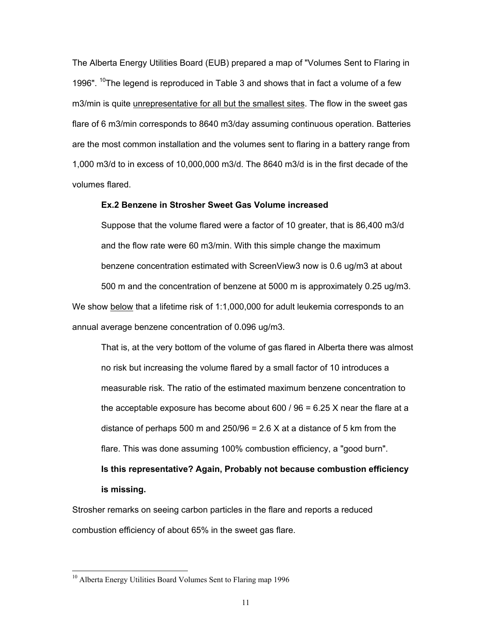The Alberta Energy Utilities Board (EUB) prepared a map of "Volumes Sent to Flaring in 1996".  $10$ The legend is reproduced in Table 3 and shows that in fact a volume of a few m3/min is quite unrepresentative for all but the smallest sites. The flow in the sweet gas flare of 6 m3/min corresponds to 8640 m3/day assuming continuous operation. Batteries are the most common installation and the volumes sent to flaring in a battery range from 1,000 m3/d to in excess of 10,000,000 m3/d. The 8640 m3/d is in the first decade of the volumes flared.

## **Ex.2 Benzene in Strosher Sweet Gas Volume increased**

Suppose that the volume flared were a factor of 10 greater, that is 86,400 m3/d and the flow rate were 60 m3/min. With this simple change the maximum benzene concentration estimated with ScreenView3 now is 0.6 ug/m3 at about 500 m and the concentration of benzene at 5000 m is approximately 0.25 ug/m3. We show below that a lifetime risk of 1:1,000,000 for adult leukemia corresponds to an annual average benzene concentration of 0.096 ug/m3.

That is, at the very bottom of the volume of gas flared in Alberta there was almost no risk but increasing the volume flared by a small factor of 10 introduces a measurable risk. The ratio of the estimated maximum benzene concentration to the acceptable exposure has become about 600 / 96 = 6.25 X near the flare at a distance of perhaps 500 m and 250/96 =  $2.6$  X at a distance of 5 km from the flare. This was done assuming 100% combustion efficiency, a "good burn". **Is this representative? Again, Probably not because combustion efficiency is missing.**

Strosher remarks on seeing carbon particles in the flare and reports a reduced combustion efficiency of about 65% in the sweet gas flare.

<sup>&</sup>lt;sup>10</sup> Alberta Energy Utilities Board Volumes Sent to Flaring map 1996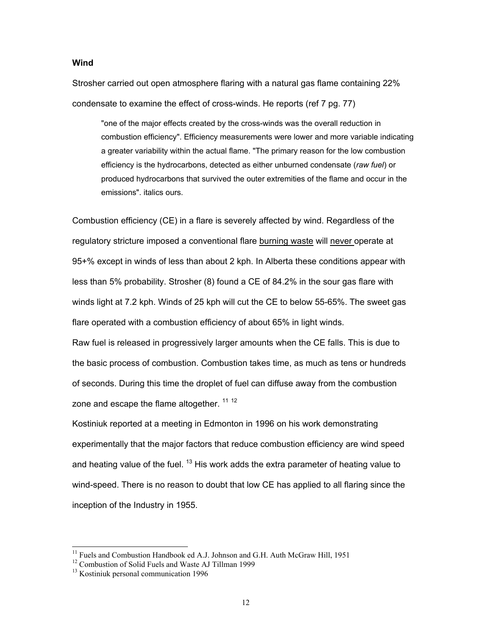## **Wind**

Strosher carried out open atmosphere flaring with a natural gas flame containing 22% condensate to examine the effect of cross-winds. He reports (ref 7 pg. 77)

"one of the major effects created by the cross-winds was the overall reduction in combustion efficiency". Efficiency measurements were lower and more variable indicating a greater variability within the actual flame. "The primary reason for the low combustion efficiency is the hydrocarbons, detected as either unburned condensate (*raw fuel*) or produced hydrocarbons that survived the outer extremities of the flame and occur in the emissions". italics ours.

Combustion efficiency (CE) in a flare is severely affected by wind. Regardless of the regulatory stricture imposed a conventional flare burning waste will never operate at 95+% except in winds of less than about 2 kph. In Alberta these conditions appear with less than 5% probability. Strosher (8) found a CE of 84.2% in the sour gas flare with winds light at 7.2 kph. Winds of 25 kph will cut the CE to below 55-65%. The sweet gas flare operated with a combustion efficiency of about 65% in light winds.

Raw fuel is released in progressively larger amounts when the CE falls. This is due to the basic process of combustion. Combustion takes time, as much as tens or hundreds of seconds. During this time the droplet of fuel can diffuse away from the combustion zone and escape the flame altogether. <sup>11 12</sup>

Kostiniuk reported at a meeting in Edmonton in 1996 on his work demonstrating experimentally that the major factors that reduce combustion efficiency are wind speed and heating value of the fuel.  $^{13}$  His work adds the extra parameter of heating value to wind-speed. There is no reason to doubt that low CE has applied to all flaring since the inception of the Industry in 1955.

<sup>&</sup>lt;sup>11</sup> Fuels and Combustion Handbook ed A.J. Johnson and G.H. Auth McGraw Hill, 1951

<sup>&</sup>lt;sup>12</sup> Combustion of Solid Fuels and Waste AJ Tillman 1999

<sup>&</sup>lt;sup>13</sup> Kostiniuk personal communication 1996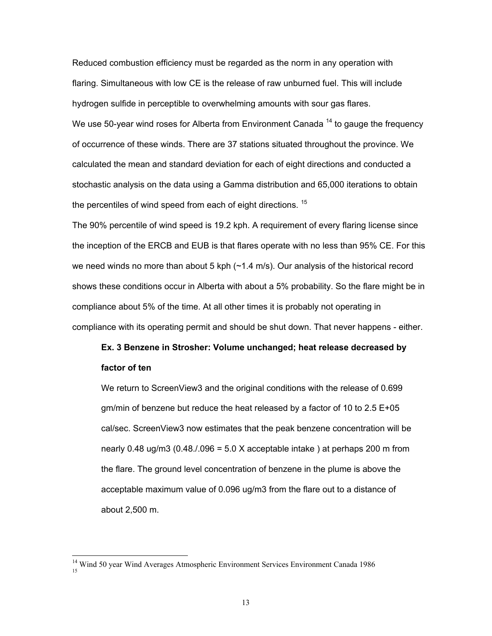Reduced combustion efficiency must be regarded as the norm in any operation with flaring. Simultaneous with low CE is the release of raw unburned fuel. This will include hydrogen sulfide in perceptible to overwhelming amounts with sour gas flares. We use 50-year wind roses for Alberta from Environment Canada  $14$  to gauge the frequency of occurrence of these winds. There are 37 stations situated throughout the province. We calculated the mean and standard deviation for each of eight directions and conducted a stochastic analysis on the data using a Gamma distribution and 65,000 iterations to obtain the percentiles of wind speed from each of eight directions.<sup>15</sup>

The 90% percentile of wind speed is 19.2 kph. A requirement of every flaring license since the inception of the ERCB and EUB is that flares operate with no less than 95% CE. For this we need winds no more than about 5 kph  $(\sim 1.4 \text{ m/s})$ . Our analysis of the historical record shows these conditions occur in Alberta with about a 5% probability. So the flare might be in compliance about 5% of the time. At all other times it is probably not operating in compliance with its operating permit and should be shut down. That never happens - either.

# **Ex. 3 Benzene in Strosher: Volume unchanged; heat release decreased by factor of ten**

We return to ScreenView3 and the original conditions with the release of 0.699 gm/min of benzene but reduce the heat released by a factor of 10 to 2.5 E+05 cal/sec. ScreenView3 now estimates that the peak benzene concentration will be nearly 0.48 ug/m3  $(0.48/0.096 = 5.0 \times$  acceptable intake ) at perhaps 200 m from the flare. The ground level concentration of benzene in the plume is above the acceptable maximum value of 0.096 ug/m3 from the flare out to a distance of about 2,500 m.

<sup>&</sup>lt;sup>14</sup> Wind 50 year Wind Averages Atmospheric Environment Services Environment Canada 1986 15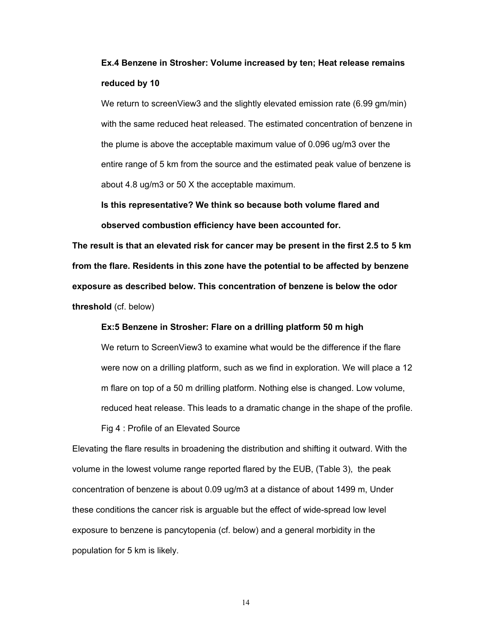# **Ex.4 Benzene in Strosher: Volume increased by ten; Heat release remains reduced by 10**

We return to screenView3 and the slightly elevated emission rate (6.99 gm/min) with the same reduced heat released. The estimated concentration of benzene in the plume is above the acceptable maximum value of 0.096 ug/m3 over the entire range of 5 km from the source and the estimated peak value of benzene is about 4.8 ug/m3 or 50 X the acceptable maximum.

**Is this representative? We think so because both volume flared and observed combustion efficiency have been accounted for.**

**The result is that an elevated risk for cancer may be present in the first 2.5 to 5 km from the flare. Residents in this zone have the potential to be affected by benzene exposure as described below. This concentration of benzene is below the odor threshold** (cf. below)

**Ex:5 Benzene in Strosher: Flare on a drilling platform 50 m high**

We return to ScreenView3 to examine what would be the difference if the flare were now on a drilling platform, such as we find in exploration. We will place a 12 m flare on top of a 50 m drilling platform. Nothing else is changed. Low volume, reduced heat release. This leads to a dramatic change in the shape of the profile.

Fig 4 : Profile of an Elevated Source

Elevating the flare results in broadening the distribution and shifting it outward. With the volume in the lowest volume range reported flared by the EUB, (Table 3), the peak concentration of benzene is about 0.09 ug/m3 at a distance of about 1499 m, Under these conditions the cancer risk is arguable but the effect of wide-spread low level exposure to benzene is pancytopenia (cf. below) and a general morbidity in the population for 5 km is likely.

14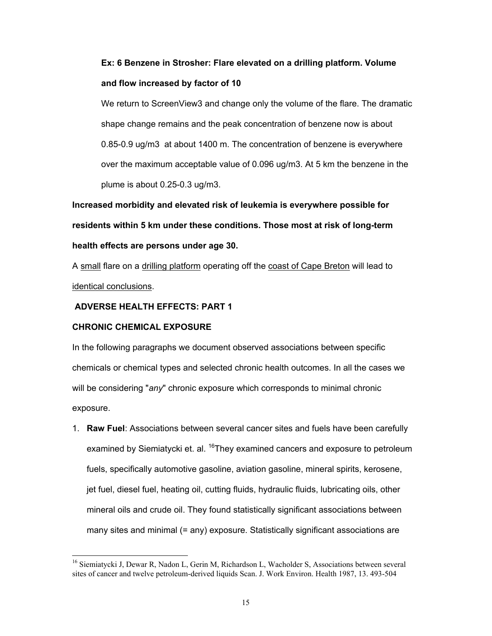# **Ex: 6 Benzene in Strosher: Flare elevated on a drilling platform. Volume and flow increased by factor of 10**

We return to ScreenView3 and change only the volume of the flare. The dramatic shape change remains and the peak concentration of benzene now is about 0.85-0.9 ug/m3 at about 1400 m. The concentration of benzene is everywhere over the maximum acceptable value of 0.096 ug/m3. At 5 km the benzene in the plume is about 0.25-0.3 ug/m3.

**Increased morbidity and elevated risk of leukemia is everywhere possible for residents within 5 km under these conditions. Those most at risk of long-term health effects are persons under age 30.**

A small flare on a drilling platform operating off the coast of Cape Breton will lead to identical conclusions.

## **ADVERSE HEALTH EFFECTS: PART 1**

## **CHRONIC CHEMICAL EXPOSURE**

 $\overline{a}$ 

In the following paragraphs we document observed associations between specific chemicals or chemical types and selected chronic health outcomes. In all the cases we will be considering "*any*" chronic exposure which corresponds to minimal chronic exposure.

1. **Raw Fuel**: Associations between several cancer sites and fuels have been carefully examined by Siemiatycki et. al. <sup>16</sup>They examined cancers and exposure to petroleum fuels, specifically automotive gasoline, aviation gasoline, mineral spirits, kerosene, jet fuel, diesel fuel, heating oil, cutting fluids, hydraulic fluids, lubricating oils, other mineral oils and crude oil. They found statistically significant associations between many sites and minimal (= any) exposure. Statistically significant associations are

<sup>&</sup>lt;sup>16</sup> Siemiatycki J, Dewar R, Nadon L, Gerin M, Richardson L, Wacholder S, Associations between several sites of cancer and twelve petroleum-derived liquids Scan. J. Work Environ. Health 1987, 13. 493-504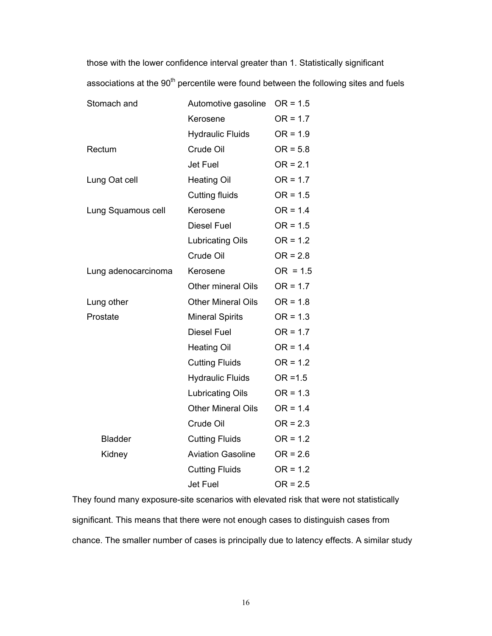those with the lower confidence interval greater than 1. Statistically significant associations at the 90<sup>th</sup> percentile were found between the following sites and fuels

| Stomach and         | Automotive gasoline       | $OR = 1.5$ |
|---------------------|---------------------------|------------|
|                     | Kerosene                  | $OR = 1.7$ |
|                     | <b>Hydraulic Fluids</b>   | $OR = 1.9$ |
| Rectum              | Crude Oil                 | $OR = 5.8$ |
|                     | <b>Jet Fuel</b>           | $OR = 2.1$ |
| Lung Oat cell       | <b>Heating Oil</b>        | $OR = 1.7$ |
|                     | Cutting fluids            | $OR = 1.5$ |
| Lung Squamous cell  | Kerosene                  | $OR = 1.4$ |
|                     | Diesel Fuel               | $OR = 1.5$ |
|                     | Lubricating Oils          | $OR = 1.2$ |
|                     | Crude Oil                 | $OR = 2.8$ |
| Lung adenocarcinoma | Kerosene                  | $OR = 1.5$ |
|                     | <b>Other mineral Oils</b> | $OR = 1.7$ |
| Lung other          | <b>Other Mineral Oils</b> | $OR = 1.8$ |
| Prostate            | <b>Mineral Spirits</b>    | $OR = 1.3$ |
|                     | <b>Diesel Fuel</b>        | $OR = 1.7$ |
|                     | <b>Heating Oil</b>        | $OR = 1.4$ |
|                     | <b>Cutting Fluids</b>     | $OR = 1.2$ |
|                     | <b>Hydraulic Fluids</b>   | $OR = 1.5$ |
|                     | <b>Lubricating Oils</b>   | $OR = 1.3$ |
|                     | <b>Other Mineral Oils</b> | $OR = 1.4$ |
|                     | Crude Oil                 | $OR = 2.3$ |
| <b>Bladder</b>      | <b>Cutting Fluids</b>     | $OR = 1.2$ |
| Kidney              | <b>Aviation Gasoline</b>  | $OR = 2.6$ |
|                     | <b>Cutting Fluids</b>     | $OR = 1.2$ |
|                     | <b>Jet Fuel</b>           | $OR = 2.5$ |

They found many exposure-site scenarios with elevated risk that were not statistically significant. This means that there were not enough cases to distinguish cases from chance. The smaller number of cases is principally due to latency effects. A similar study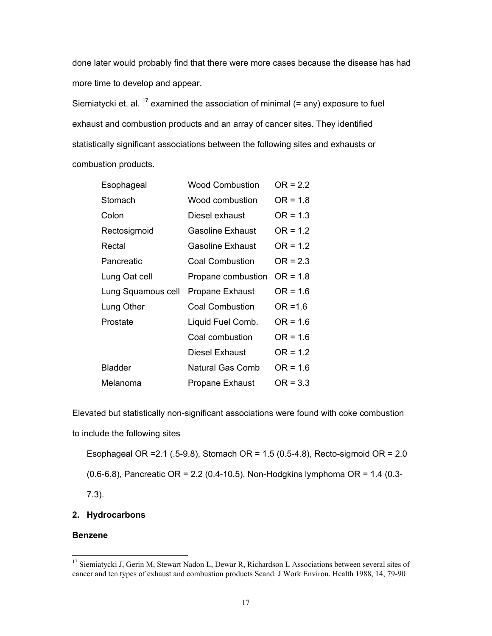done later would probably find that there were more cases because the disease has had more time to develop and appear.

Siemiatycki et. al.  $^{17}$  examined the association of minimal (= any) exposure to fuel exhaust and combustion products and an array of cancer sites. They identified statistically significant associations between the following sites and exhausts or combustion products.

| Esophageal         | <b>Wood Combustion</b> | $OR = 2.2$ |
|--------------------|------------------------|------------|
| Stomach            | Wood combustion        | $OR = 1.8$ |
| Colon              | Diesel exhaust         | $OR = 1.3$ |
| Rectosigmoid       | Gasoline Exhaust       | $OR = 1.2$ |
| Rectal             | Gasoline Exhaust       | $OR = 1.2$ |
| Pancreatic         | <b>Coal Combustion</b> | $OR = 2.3$ |
| Lung Oat cell      | Propane combustion     | $OR = 1.8$ |
| Lung Squamous cell | <b>Propane Exhaust</b> | $OR = 1.6$ |
| Lung Other         | <b>Coal Combustion</b> | $OR = 1.6$ |
| Prostate           | Liquid Fuel Comb.      | $OR = 1.6$ |
|                    | Coal combustion        | $OR = 1.6$ |
|                    | Diesel Exhaust         | $OR = 1.2$ |
| Bladder            | Natural Gas Comb       | $OR = 1.6$ |
| Melanoma           | <b>Propane Exhaust</b> | $OR = 3.3$ |

Elevated but statistically non-significant associations were found with coke combustion

to include the following sites

Esophageal OR =2.1 (.5-9.8), Stomach OR = 1.5 (0.5-4.8), Recto-sigmoid OR = 2.0

(0.6-6.8), Pancreatic OR = 2.2 (0.4-10.5), Non-Hodgkins lymphoma OR = 1.4 (0.3-

7.3).

## **2. Hydrocarbons**

## **Benzene**

<sup>&</sup>lt;sup>17</sup> Siemiatycki J, Gerin M, Stewart Nadon L, Dewar R, Richardson L Associations between several sites of cancer and ten types of exhaust and combustion products Scand. J Work Environ. Health 1988, 14, 79-90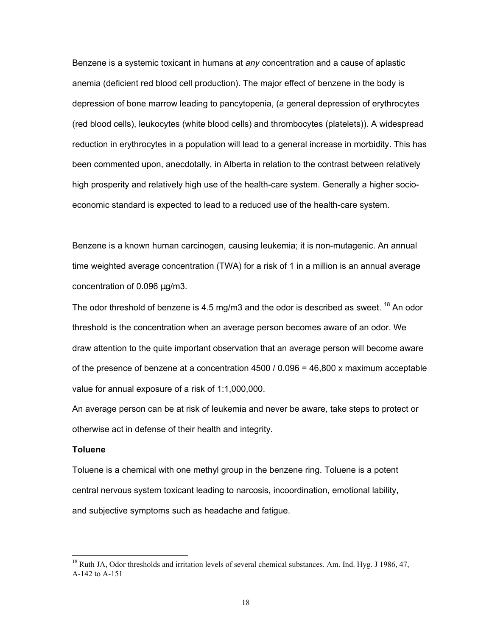Benzene is a systemic toxicant in humans at *any* concentration and a cause of aplastic anemia (deficient red blood cell production). The major effect of benzene in the body is depression of bone marrow leading to pancytopenia, (a general depression of erythrocytes (red blood cells), leukocytes (white blood cells) and thrombocytes (platelets)). A widespread reduction in erythrocytes in a population will lead to a general increase in morbidity. This has been commented upon, anecdotally, in Alberta in relation to the contrast between relatively high prosperity and relatively high use of the health-care system. Generally a higher socioeconomic standard is expected to lead to a reduced use of the health-care system.

Benzene is a known human carcinogen, causing leukemia; it is non-mutagenic. An annual time weighted average concentration (TWA) for a risk of 1 in a million is an annual average concentration of 0.096 µg/m3.

The odor threshold of benzene is 4.5 mg/m3 and the odor is described as sweet. <sup>18</sup> An odor threshold is the concentration when an average person becomes aware of an odor. We draw attention to the quite important observation that an average person will become aware of the presence of benzene at a concentration 4500 / 0.096 = 46,800 x maximum acceptable value for annual exposure of a risk of 1:1,000,000.

An average person can be at risk of leukemia and never be aware, take steps to protect or otherwise act in defense of their health and integrity.

### **Toluene**

 $\overline{a}$ 

Toluene is a chemical with one methyl group in the benzene ring. Toluene is a potent central nervous system toxicant leading to narcosis, incoordination, emotional lability, and subjective symptoms such as headache and fatigue.

<sup>&</sup>lt;sup>18</sup> Ruth JA, Odor thresholds and irritation levels of several chemical substances. Am. Ind. Hyg. J 1986, 47, A-142 to A-151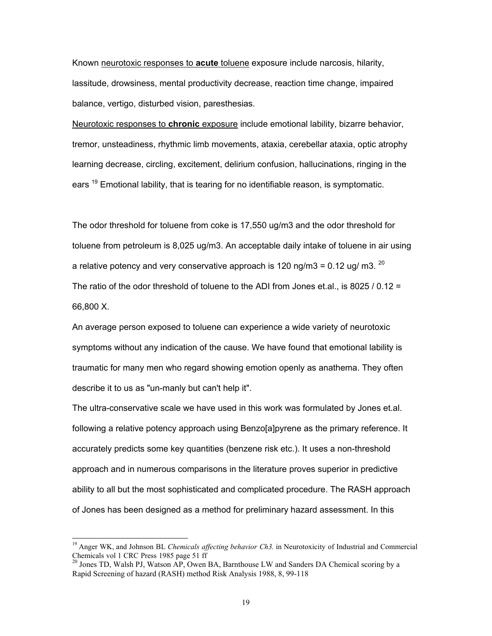Known neurotoxic responses to **acute** toluene exposure include narcosis, hilarity, lassitude, drowsiness, mental productivity decrease, reaction time change, impaired balance, vertigo, disturbed vision, paresthesias.

Neurotoxic responses to **chronic** exposure include emotional lability, bizarre behavior, tremor, unsteadiness, rhythmic limb movements, ataxia, cerebellar ataxia, optic atrophy learning decrease, circling, excitement, delirium confusion, hallucinations, ringing in the ears <sup>19</sup> Emotional lability, that is tearing for no identifiable reason, is symptomatic.

The odor threshold for toluene from coke is 17,550 ug/m3 and the odor threshold for toluene from petroleum is 8,025 ug/m3. An acceptable daily intake of toluene in air using a relative potency and very conservative approach is 120 ng/m3 = 0.12 ug/ m3.  $^{20}$ The ratio of the odor threshold of toluene to the ADI from Jones et.al., is 8025 / 0.12 = 66,800 X.

An average person exposed to toluene can experience a wide variety of neurotoxic symptoms without any indication of the cause. We have found that emotional lability is traumatic for many men who regard showing emotion openly as anathema. They often describe it to us as "un-manly but can't help it".

The ultra-conservative scale we have used in this work was formulated by Jones et.al. following a relative potency approach using Benzo[a]pyrene as the primary reference. It accurately predicts some key quantities (benzene risk etc.). It uses a non-threshold approach and in numerous comparisons in the literature proves superior in predictive ability to all but the most sophisticated and complicated procedure. The RASH approach of Jones has been designed as a method for preliminary hazard assessment. In this

<sup>&</sup>lt;sup>19</sup> Anger WK, and Johnson BL *Chemicals affecting behavior Ch3*. in Neurotoxicity of Industrial and Commercial Chemicals vol 1 CRC Press 1985 page 51 ff

<sup>&</sup>lt;sup>20</sup> Jones TD, Walsh PJ, Watson AP, Owen BA, Barnthouse LW and Sanders DA Chemical scoring by a Rapid Screening of hazard (RASH) method Risk Analysis 1988, 8, 99-118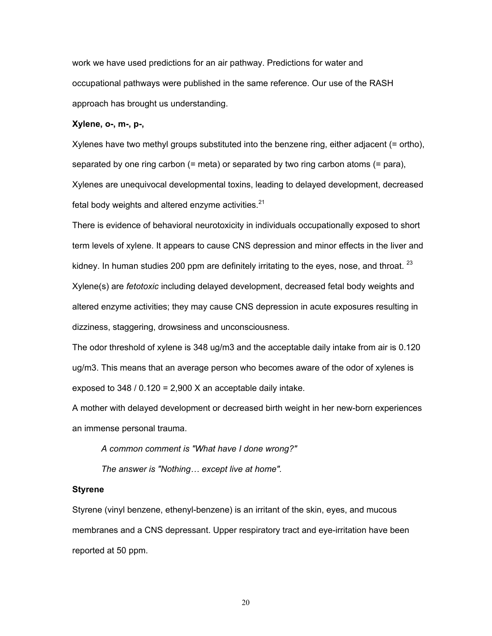work we have used predictions for an air pathway. Predictions for water and occupational pathways were published in the same reference. Our use of the RASH approach has brought us understanding.

## **Xylene, o-, m-, p-,**

Xylenes have two methyl groups substituted into the benzene ring, either adjacent (= ortho), separated by one ring carbon (= meta) or separated by two ring carbon atoms (= para), Xylenes are unequivocal developmental toxins, leading to delayed development, decreased fetal body weights and altered enzyme activities.<sup>21</sup>

There is evidence of behavioral neurotoxicity in individuals occupationally exposed to short term levels of xylene. It appears to cause CNS depression and minor effects in the liver and kidney. In human studies 200 ppm are definitely irritating to the eyes, nose, and throat.  $23$ Xylene(s) are *fetotoxic* including delayed development, decreased fetal body weights and altered enzyme activities; they may cause CNS depression in acute exposures resulting in dizziness, staggering, drowsiness and unconsciousness.

The odor threshold of xylene is 348 ug/m3 and the acceptable daily intake from air is 0.120 ug/m3. This means that an average person who becomes aware of the odor of xylenes is exposed to  $348 / 0.120 = 2,900$  X an acceptable daily intake.

A mother with delayed development or decreased birth weight in her new-born experiences an immense personal trauma.

*A common comment is "What have I done wrong?"*

*The answer is "Nothing… except live at home".*

#### **Styrene**

Styrene (vinyl benzene, ethenyl-benzene) is an irritant of the skin, eyes, and mucous membranes and a CNS depressant. Upper respiratory tract and eye-irritation have been reported at 50 ppm.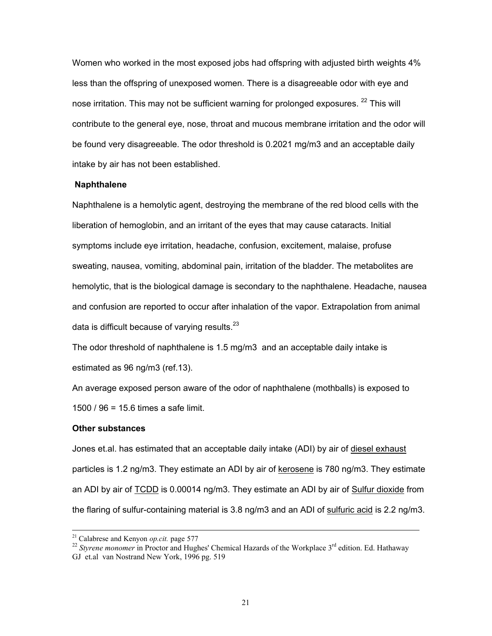Women who worked in the most exposed jobs had offspring with adjusted birth weights 4% less than the offspring of unexposed women. There is a disagreeable odor with eye and nose irritation. This may not be sufficient warning for prolonged exposures. <sup>22</sup> This will contribute to the general eye, nose, throat and mucous membrane irritation and the odor will be found very disagreeable. The odor threshold is 0.2021 mg/m3 and an acceptable daily intake by air has not been established.

## **Naphthalene**

Naphthalene is a hemolytic agent, destroying the membrane of the red blood cells with the liberation of hemoglobin, and an irritant of the eyes that may cause cataracts. Initial symptoms include eye irritation, headache, confusion, excitement, malaise, profuse sweating, nausea, vomiting, abdominal pain, irritation of the bladder. The metabolites are hemolytic, that is the biological damage is secondary to the naphthalene. Headache, nausea and confusion are reported to occur after inhalation of the vapor. Extrapolation from animal data is difficult because of varying results. $^{23}$ 

The odor threshold of naphthalene is 1.5 mg/m3 and an acceptable daily intake is estimated as 96 ng/m3 (ref.13).

An average exposed person aware of the odor of naphthalene (mothballs) is exposed to 1500 / 96 = 15.6 times a safe limit.

#### **Other substances**

Jones et.al. has estimated that an acceptable daily intake (ADI) by air of diesel exhaust particles is 1.2 ng/m3. They estimate an ADI by air of kerosene is 780 ng/m3. They estimate an ADI by air of TCDD is 0.00014 ng/m3. They estimate an ADI by air of Sulfur dioxide from the flaring of sulfur-containing material is 3.8 ng/m3 and an ADI of sulfuric acid is 2.2 ng/m3.

<sup>&</sup>lt;sup>21</sup> Calabrese and Kenyon *op.cit.* page 577<br><sup>22</sup> *Styrene monomer* in Proctor and Hughes' Chemical Hazards of the Workplace 3<sup>rd</sup> edition. Ed. Hathaway GJ et.al van Nostrand New York, 1996 pg. 519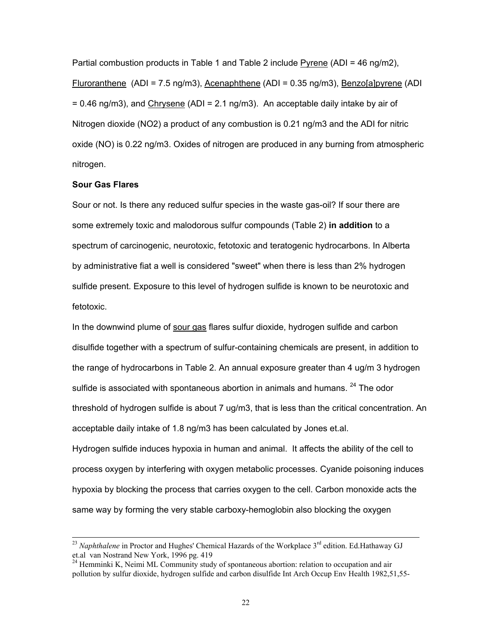Partial combustion products in Table 1 and Table 2 include Pyrene (ADI = 46 ng/m2), Fluroranthene (ADI = 7.5 ng/m3), Acenaphthene (ADI = 0.35 ng/m3), Benzo[a]pyrene (ADI  $= 0.46$  ng/m3), and Chrysene (ADI = 2.1 ng/m3). An acceptable daily intake by air of Nitrogen dioxide (NO2) a product of any combustion is 0.21 ng/m3 and the ADI for nitric oxide (NO) is 0.22 ng/m3. Oxides of nitrogen are produced in any burning from atmospheric nitrogen.

## **Sour Gas Flares**

Sour or not. Is there any reduced sulfur species in the waste gas-oil? If sour there are some extremely toxic and malodorous sulfur compounds (Table 2) **in addition** to a spectrum of carcinogenic, neurotoxic, fetotoxic and teratogenic hydrocarbons. In Alberta by administrative fiat a well is considered "sweet" when there is less than 2% hydrogen sulfide present. Exposure to this level of hydrogen sulfide is known to be neurotoxic and fetotoxic.

In the downwind plume of sour gas flares sulfur dioxide, hydrogen sulfide and carbon disulfide together with a spectrum of sulfur-containing chemicals are present, in addition to the range of hydrocarbons in Table 2. An annual exposure greater than 4 ug/m 3 hydrogen sulfide is associated with spontaneous abortion in animals and humans. <sup>24</sup> The odor threshold of hydrogen sulfide is about 7 ug/m3, that is less than the critical concentration. An acceptable daily intake of 1.8 ng/m3 has been calculated by Jones et.al. Hydrogen sulfide induces hypoxia in human and animal. It affects the ability of the cell to process oxygen by interfering with oxygen metabolic processes. Cyanide poisoning induces hypoxia by blocking the process that carries oxygen to the cell. Carbon monoxide acts the same way by forming the very stable carboxy-hemoglobin also blocking the oxygen

<sup>&</sup>lt;sup>23</sup> *Naphthalene* in Proctor and Hughes' Chemical Hazards of the Workplace 3<sup>rd</sup> edition. Ed.Hathaway GJ et.al van Nostrand New York, 1996 pg. 419

 $24$  Hemminki K, Neimi ML Community study of spontaneous abortion: relation to occupation and air pollution by sulfur dioxide, hydrogen sulfide and carbon disulfide Int Arch Occup Env Health 1982,51,55-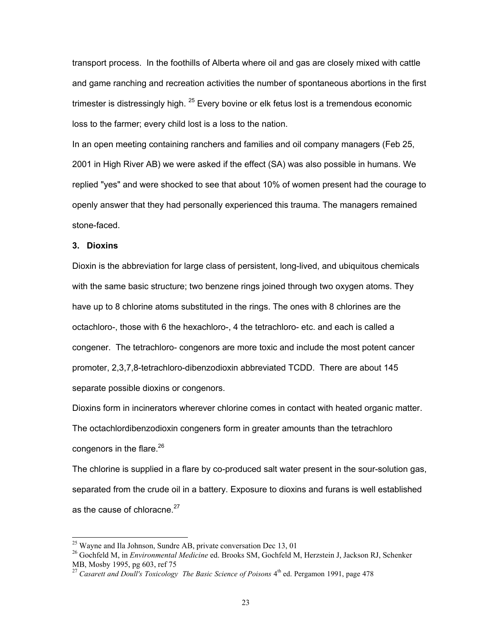transport process. In the foothills of Alberta where oil and gas are closely mixed with cattle and game ranching and recreation activities the number of spontaneous abortions in the first trimester is distressingly high. <sup>25</sup> Every bovine or elk fetus lost is a tremendous economic loss to the farmer; every child lost is a loss to the nation.

In an open meeting containing ranchers and families and oil company managers (Feb 25, 2001 in High River AB) we were asked if the effect (SA) was also possible in humans. We replied "yes" and were shocked to see that about 10% of women present had the courage to openly answer that they had personally experienced this trauma. The managers remained stone-faced.

#### **3. Dioxins**

 $\overline{a}$ 

Dioxin is the abbreviation for large class of persistent, long-lived, and ubiquitous chemicals with the same basic structure; two benzene rings joined through two oxygen atoms. They have up to 8 chlorine atoms substituted in the rings. The ones with 8 chlorines are the octachloro-, those with 6 the hexachloro-, 4 the tetrachloro- etc. and each is called a congener. The tetrachloro- congenors are more toxic and include the most potent cancer promoter, 2,3,7,8-tetrachloro-dibenzodioxin abbreviated TCDD. There are about 145 separate possible dioxins or congenors.

Dioxins form in incinerators wherever chlorine comes in contact with heated organic matter. The octachlordibenzodioxin congeners form in greater amounts than the tetrachloro congenors in the flare. $^{26}$ 

The chlorine is supplied in a flare by co-produced salt water present in the sour-solution gas, separated from the crude oil in a battery. Exposure to dioxins and furans is well established as the cause of chloracne. $27$ 

 $^{25}$  Wayne and Ila Johnson, Sundre AB, private conversation Dec 13, 01

<sup>26</sup> Gochfeld M, in *Environmental Medicine* ed. Brooks SM, Gochfeld M, Herzstein J, Jackson RJ, Schenker MB, Mosby 1995, pg 603, ref 75

<sup>&</sup>lt;sup>27</sup> Casarett and Doull's Toxicology The Basic Science of Poisons 4<sup>th</sup> ed. Pergamon 1991, page 478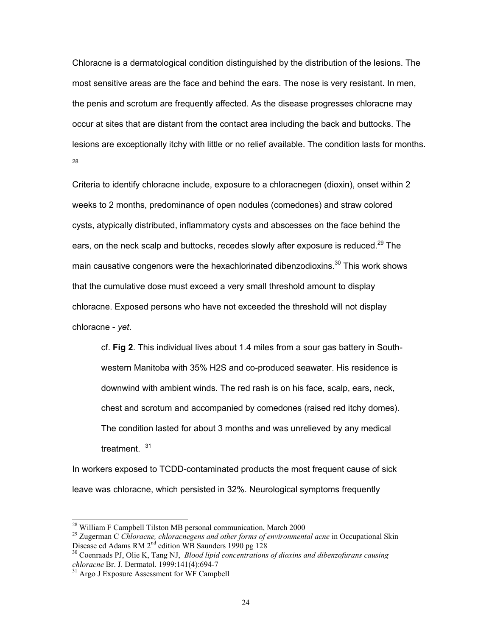Chloracne is a dermatological condition distinguished by the distribution of the lesions. The most sensitive areas are the face and behind the ears. The nose is very resistant. In men, the penis and scrotum are frequently affected. As the disease progresses chloracne may occur at sites that are distant from the contact area including the back and buttocks. The lesions are exceptionally itchy with little or no relief available. The condition lasts for months. 28

Criteria to identify chloracne include, exposure to a chloracnegen (dioxin), onset within 2 weeks to 2 months, predominance of open nodules (comedones) and straw colored cysts, atypically distributed, inflammatory cysts and abscesses on the face behind the ears, on the neck scalp and buttocks, recedes slowly after exposure is reduced.<sup>29</sup> The main causative congenors were the hexachlorinated dibenzodioxins.<sup>30</sup> This work shows that the cumulative dose must exceed a very small threshold amount to display chloracne. Exposed persons who have not exceeded the threshold will not display chloracne - *yet*.

cf. **Fig 2**. This individual lives about 1.4 miles from a sour gas battery in Southwestern Manitoba with 35% H2S and co-produced seawater. His residence is downwind with ambient winds. The red rash is on his face, scalp, ears, neck, chest and scrotum and accompanied by comedones (raised red itchy domes). The condition lasted for about 3 months and was unrelieved by any medical treatment.<sup>31</sup>

In workers exposed to TCDD-contaminated products the most frequent cause of sick leave was chloracne, which persisted in 32%. Neurological symptoms frequently

 $^{28}$  William F Campbell Tilston MB personal communication, March 2000

<sup>&</sup>lt;sup>29</sup> Zugerman C *Chloracne, chloracnegens and other forms of environmental acne* in Occupational Skin Disease ed Adams RM 2<sup>nd</sup> edition WB Saunders 1990 pg 128

<sup>&</sup>lt;sup>30</sup> Coenraads PJ, Olie K, Tang NJ, *Blood lipid concentrations of dioxins and dibenzofurans causing chloracne* Br. J. Dermatol. 1999:141(4):694-7

<sup>&</sup>lt;sup>31</sup> Argo J Exposure Assessment for WF Campbell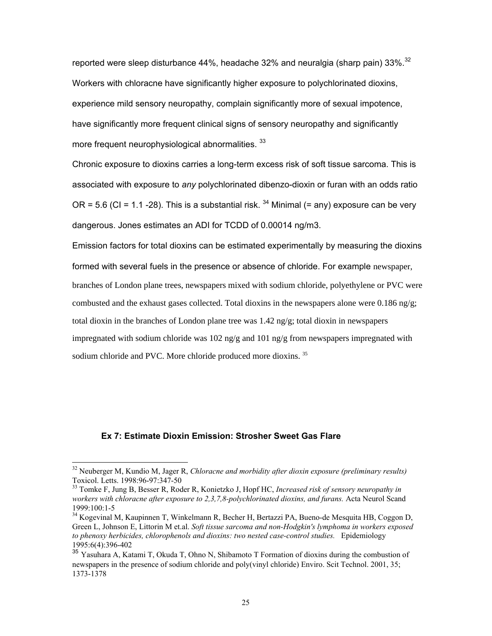reported were sleep disturbance 44%, headache 32% and neuralgia (sharp pain) 33%.<sup>32</sup> Workers with chloracne have significantly higher exposure to polychlorinated dioxins, experience mild sensory neuropathy, complain significantly more of sexual impotence, have significantly more frequent clinical signs of sensory neuropathy and significantly more frequent neurophysiological abnormalities. 33

Chronic exposure to dioxins carries a long-term excess risk of soft tissue sarcoma. This is associated with exposure to *any* polychlorinated dibenzo-dioxin or furan with an odds ratio OR = 5.6 (CI = 1.1 -28). This is a substantial risk.  $34$  Minimal (= any) exposure can be very dangerous. Jones estimates an ADI for TCDD of 0.00014 ng/m3.

Emission factors for total dioxins can be estimated experimentally by measuring the dioxins formed with several fuels in the presence or absence of chloride. For example newspaper, branches of London plane trees, newspapers mixed with sodium chloride, polyethylene or PVC were combusted and the exhaust gases collected. Total dioxins in the newspapers alone were 0.186 ng/g; total dioxin in the branches of London plane tree was 1.42 ng/g; total dioxin in newspapers impregnated with sodium chloride was 102 ng/g and 101 ng/g from newspapers impregnated with sodium chloride and PVC. More chloride produced more dioxins.<sup>35</sup>

## **Ex 7: Estimate Dioxin Emission: Strosher Sweet Gas Flare**

<sup>32</sup> Neuberger M, Kundio M, Jager R, *Chloracne and morbidity after dioxin exposure (preliminary results)* Toxicol. Letts. 1998:96-97:347-50

<sup>33</sup> Tomke F, Jung B, Besser R, Roder R, Konietzko J, Hopf HC, *Increased risk of sensory neuropathy in workers with chloracne after exposure to 2,3,7,8-polychlorinated dioxins, and furans.* Acta Neurol Scand 1999:100:1-5

<sup>&</sup>lt;sup>34</sup> Kogevinal M, Kaupinnen T, Winkelmann R, Becher H, Bertazzi PA, Bueno-de Mesquita HB, Coggon D, Green L, Johnson E, Littorin M et.al. *Soft tissue sarcoma and non-Hodgkin's lymphoma in workers exposed to phenoxy herbicides, chlorophenols and dioxins: two nested case-control studies.* Epidemiology 1995:6(4):396-402

<sup>&</sup>lt;sup>35</sup> Yasuhara A, Katami T, Okuda T, Ohno N, Shibamoto T Formation of dioxins during the combustion of newspapers in the presence of sodium chloride and poly(vinyl chloride) Enviro. Scit Technol. 2001, 35; 1373-1378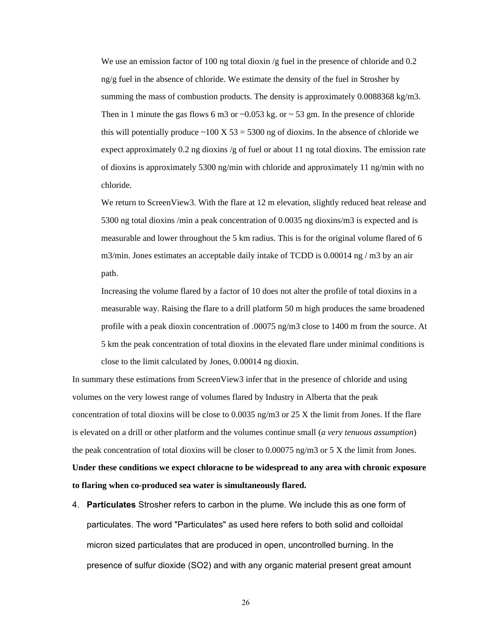We use an emission factor of 100 ng total dioxin /g fuel in the presence of chloride and 0.2 ng/g fuel in the absence of chloride. We estimate the density of the fuel in Strosher by summing the mass of combustion products. The density is approximately  $0.0088368 \text{ kg/m3}$ . Then in 1 minute the gas flows 6 m3 or  $\sim$  0.053 kg. or  $\sim$  53 gm. In the presence of chloride this will potentially produce  $\sim$ 100 X 53 = 5300 ng of dioxins. In the absence of chloride we expect approximately  $0.2$  ng dioxins /g of fuel or about 11 ng total dioxins. The emission rate of dioxins is approximately 5300 ng/min with chloride and approximately 11 ng/min with no chloride.

We return to ScreenView3. With the flare at 12 m elevation, slightly reduced heat release and 5300 ng total dioxins /min a peak concentration of 0.0035 ng dioxins/m3 is expected and is measurable and lower throughout the 5 km radius. This is for the original volume flared of 6 m3/min. Jones estimates an acceptable daily intake of TCDD is  $0.00014$  ng / m3 by an air path.

Increasing the volume flared by a factor of 10 does not alter the profile of total dioxins in a measurable way. Raising the flare to a drill platform 50 m high produces the same broadened profile with a peak dioxin concentration of .00075 ng/m3 close to 1400 m from the source. At 5 km the peak concentration of total dioxins in the elevated flare under minimal conditions is close to the limit calculated by Jones, 0.00014 ng dioxin.

In summary these estimations from ScreenView3 infer that in the presence of chloride and using volumes on the very lowest range of volumes flared by Industry in Alberta that the peak concentration of total dioxins will be close to 0.0035 ng/m3 or 25 X the limit from Jones. If the flare is elevated on a drill or other platform and the volumes continue small (*a very tenuous assumption*) the peak concentration of total dioxins will be closer to 0.00075 ng/m3 or 5 X the limit from Jones. **Under these conditions we expect chloracne to be widespread to any area with chronic exposure to flaring when co-produced sea water is simultaneously flared.**

4. **Particulates** Strosher refers to carbon in the plume. We include this as one form of particulates. The word "Particulates" as used here refers to both solid and colloidal micron sized particulates that are produced in open, uncontrolled burning. In the presence of sulfur dioxide (SO2) and with any organic material present great amount

26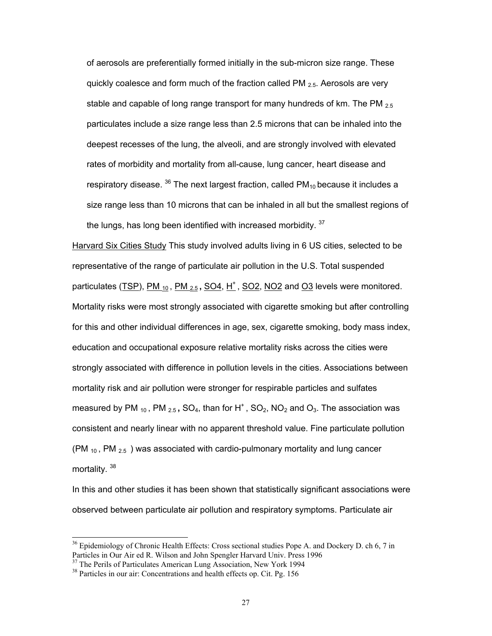of aerosols are preferentially formed initially in the sub-micron size range. These quickly coalesce and form much of the fraction called PM  $_{2.5}$ . Aerosols are very stable and capable of long range transport for many hundreds of km. The PM  $_{2.5}$ particulates include a size range less than 2.5 microns that can be inhaled into the deepest recesses of the lung, the alveoli, and are strongly involved with elevated rates of morbidity and mortality from all-cause, lung cancer, heart disease and respiratory disease.  $36$  The next largest fraction, called PM<sub>10</sub> because it includes a size range less than 10 microns that can be inhaled in all but the smallest regions of the lungs, has long been identified with increased morbidity.  $37$ 

Harvard Six Cities Study This study involved adults living in 6 US cities, selected to be representative of the range of particulate air pollution in the U.S. Total suspended particulates (TSP), PM <sub>10</sub>, PM <sub>2.5</sub>, SO4, H<sup>+</sup>, SO2, NO2 and O3 levels were monitored. Mortality risks were most strongly associated with cigarette smoking but after controlling for this and other individual differences in age, sex, cigarette smoking, body mass index, education and occupational exposure relative mortality risks across the cities were strongly associated with difference in pollution levels in the cities. Associations between mortality risk and air pollution were stronger for respirable particles and sulfates measured by PM  $_{10}$ , PM  $_{2.5}$ , SO<sub>4</sub>, than for H<sup>+</sup>, SO<sub>2</sub>, NO<sub>2</sub> and O<sub>3</sub>. The association was consistent and nearly linear with no apparent threshold value. Fine particulate pollution (PM  $_{10}$ , PM  $_{2.5}$ ) was associated with cardio-pulmonary mortality and lung cancer mortality. 38

In this and other studies it has been shown that statistically significant associations were observed between particulate air pollution and respiratory symptoms. Particulate air

 $36$  Epidemiology of Chronic Health Effects: Cross sectional studies Pope A. and Dockery D. ch 6, 7 in Particles in Our Air ed R. Wilson and John Spengler Harvard Univ. Press 1996

<sup>&</sup>lt;sup>37</sup> The Perils of Particulates American Lung Association, New York 1994

<sup>&</sup>lt;sup>38</sup> Particles in our air: Concentrations and health effects op. Cit. Pg. 156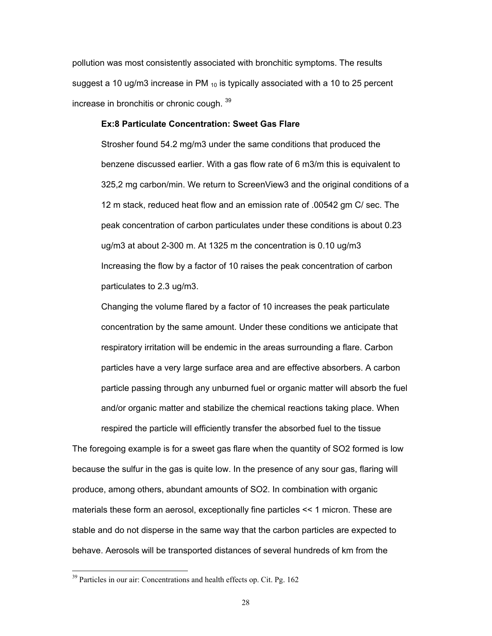pollution was most consistently associated with bronchitic symptoms. The results suggest a 10 ug/m3 increase in PM  $_{10}$  is typically associated with a 10 to 25 percent increase in bronchitis or chronic cough. <sup>39</sup>

## **Ex:8 Particulate Concentration: Sweet Gas Flare**

Strosher found 54.2 mg/m3 under the same conditions that produced the benzene discussed earlier. With a gas flow rate of 6 m3/m this is equivalent to 325,2 mg carbon/min. We return to ScreenView3 and the original conditions of a 12 m stack, reduced heat flow and an emission rate of .00542 gm C/ sec. The peak concentration of carbon particulates under these conditions is about 0.23 ug/m3 at about 2-300 m. At 1325 m the concentration is 0.10 ug/m3 Increasing the flow by a factor of 10 raises the peak concentration of carbon particulates to 2.3 ug/m3.

Changing the volume flared by a factor of 10 increases the peak particulate concentration by the same amount. Under these conditions we anticipate that respiratory irritation will be endemic in the areas surrounding a flare. Carbon particles have a very large surface area and are effective absorbers. A carbon particle passing through any unburned fuel or organic matter will absorb the fuel and/or organic matter and stabilize the chemical reactions taking place. When

The foregoing example is for a sweet gas flare when the quantity of SO2 formed is low because the sulfur in the gas is quite low. In the presence of any sour gas, flaring will produce, among others, abundant amounts of SO2. In combination with organic materials these form an aerosol, exceptionally fine particles << 1 micron. These are stable and do not disperse in the same way that the carbon particles are expected to behave. Aerosols will be transported distances of several hundreds of km from the

respired the particle will efficiently transfer the absorbed fuel to the tissue

<sup>&</sup>lt;sup>39</sup> Particles in our air: Concentrations and health effects op. Cit. Pg. 162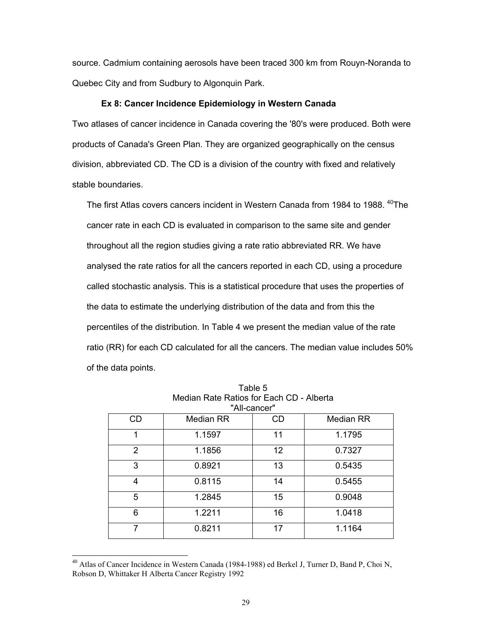source. Cadmium containing aerosols have been traced 300 km from Rouyn-Noranda to Quebec City and from Sudbury to Algonquin Park.

#### **Ex 8: Cancer Incidence Epidemiology in Western Canada**

Two atlases of cancer incidence in Canada covering the '80's were produced. Both were products of Canada's Green Plan. They are organized geographically on the census division, abbreviated CD. The CD is a division of the country with fixed and relatively stable boundaries.

The first Atlas covers cancers incident in Western Canada from 1984 to 1988. <sup>40</sup>The cancer rate in each CD is evaluated in comparison to the same site and gender throughout all the region studies giving a rate ratio abbreviated RR. We have analysed the rate ratios for all the cancers reported in each CD, using a procedure called stochastic analysis. This is a statistical procedure that uses the properties of the data to estimate the underlying distribution of the data and from this the percentiles of the distribution. In Table 4 we present the median value of the rate ratio (RR) for each CD calculated for all the cancers. The median value includes 50% of the data points.

| "All-cancer"   |                  |           |                  |  |
|----------------|------------------|-----------|------------------|--|
| <b>CD</b>      | <b>Median RR</b> | <b>CD</b> | <b>Median RR</b> |  |
| 1              | 1.1597           | 11        | 1.1795           |  |
| $\overline{2}$ | 1.1856           | 12        | 0.7327           |  |
| 3              | 0.8921           | 13        | 0.5435           |  |
| 4              | 0.8115           | 14        | 0.5455           |  |
| 5              | 1.2845           | 15        | 0.9048           |  |
| 6              | 1.2211           | 16        | 1.0418           |  |
|                | 0.8211           | 17        | 1.1164           |  |

Table 5 Median Rate Ratios for Each CD - Alberta "All-cancer"

<sup>&</sup>lt;sup>40</sup> Atlas of Cancer Incidence in Western Canada (1984-1988) ed Berkel J, Turner D, Band P, Choi N, Robson D, Whittaker H Alberta Cancer Registry 1992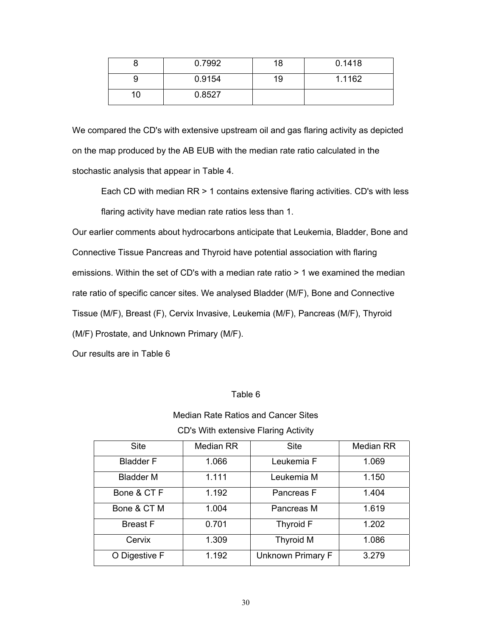|   | 0.7992 | 18 | 0.1418 |
|---|--------|----|--------|
|   | 0.9154 | 19 | 1.1162 |
| U | 0.8527 |    |        |

We compared the CD's with extensive upstream oil and gas flaring activity as depicted on the map produced by the AB EUB with the median rate ratio calculated in the stochastic analysis that appear in Table 4.

Each CD with median RR > 1 contains extensive flaring activities. CD's with less flaring activity have median rate ratios less than 1.

Our earlier comments about hydrocarbons anticipate that Leukemia, Bladder, Bone and Connective Tissue Pancreas and Thyroid have potential association with flaring emissions. Within the set of CD's with a median rate ratio > 1 we examined the median rate ratio of specific cancer sites. We analysed Bladder (M/F), Bone and Connective Tissue (M/F), Breast (F), Cervix Invasive, Leukemia (M/F), Pancreas (M/F), Thyroid (M/F) Prostate, and Unknown Primary (M/F).

Our results are in Table 6

## Table 6

## Median Rate Ratios and Cancer Sites

CD's With extensive Flaring Activity

| <b>Site</b>      | Median RR | <b>Site</b>       | <b>Median RR</b> |
|------------------|-----------|-------------------|------------------|
| <b>Bladder F</b> | 1.066     | Leukemia F        | 1.069            |
| <b>Bladder M</b> | 1.111     | Leukemia M        | 1.150            |
| Bone & CT F      | 1.192     | Pancreas F        | 1.404            |
| Bone & CT M      | 1.004     | Pancreas M        | 1.619            |
| <b>Breast F</b>  | 0.701     | Thyroid F         | 1.202            |
| Cervix           | 1.309     | <b>Thyroid M</b>  | 1.086            |
| O Digestive F    | 1.192     | Unknown Primary F | 3.279            |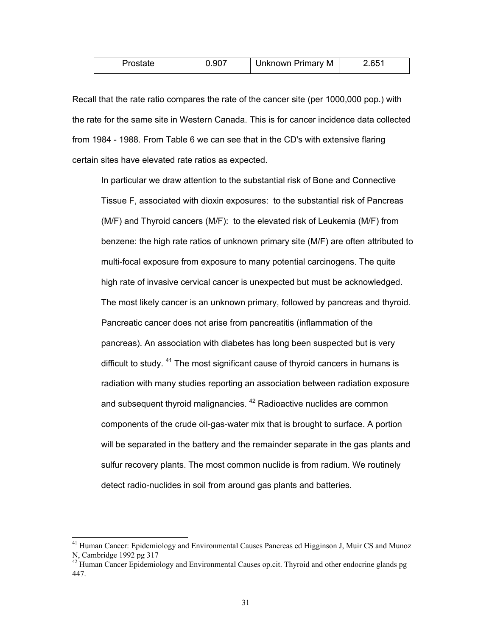|  | 0.907 | Unknown Primary M | 2.651 |
|--|-------|-------------------|-------|
|--|-------|-------------------|-------|

Recall that the rate ratio compares the rate of the cancer site (per 1000,000 pop.) with the rate for the same site in Western Canada. This is for cancer incidence data collected from 1984 - 1988. From Table 6 we can see that in the CD's with extensive flaring certain sites have elevated rate ratios as expected.

In particular we draw attention to the substantial risk of Bone and Connective Tissue F, associated with dioxin exposures: to the substantial risk of Pancreas (M/F) and Thyroid cancers (M/F): to the elevated risk of Leukemia (M/F) from benzene: the high rate ratios of unknown primary site (M/F) are often attributed to multi-focal exposure from exposure to many potential carcinogens. The quite high rate of invasive cervical cancer is unexpected but must be acknowledged. The most likely cancer is an unknown primary, followed by pancreas and thyroid. Pancreatic cancer does not arise from pancreatitis (inflammation of the pancreas). An association with diabetes has long been suspected but is very difficult to study.  $41$  The most significant cause of thyroid cancers in humans is radiation with many studies reporting an association between radiation exposure and subsequent thyroid malignancies. <sup>42</sup> Radioactive nuclides are common components of the crude oil-gas-water mix that is brought to surface. A portion will be separated in the battery and the remainder separate in the gas plants and sulfur recovery plants. The most common nuclide is from radium. We routinely detect radio-nuclides in soil from around gas plants and batteries.

<sup>&</sup>lt;sup>41</sup> Human Cancer: Epidemiology and Environmental Causes Pancreas ed Higginson J, Muir CS and Munoz N, Cambridge 1992 pg 317

 $42$  Human Cancer Epidemiology and Environmental Causes op.cit. Thyroid and other endocrine glands pg 447.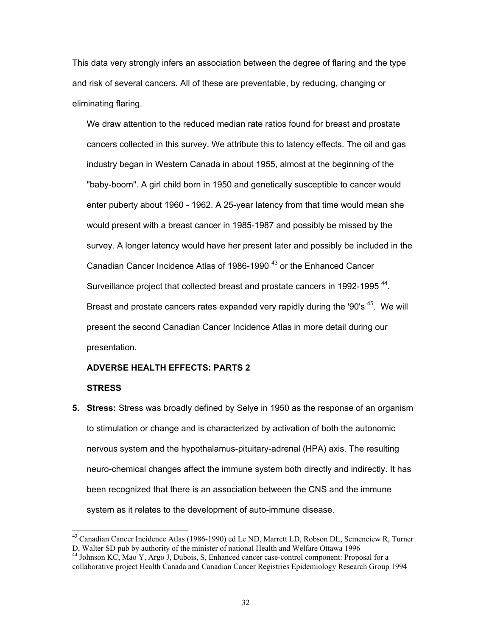This data very strongly infers an association between the degree of flaring and the type and risk of several cancers. All of these are preventable, by reducing, changing or eliminating flaring.

We draw attention to the reduced median rate ratios found for breast and prostate cancers collected in this survey. We attribute this to latency effects. The oil and gas industry began in Western Canada in about 1955, almost at the beginning of the "baby-boom". A girl child born in 1950 and genetically susceptible to cancer would enter puberty about 1960 - 1962. A 25-year latency from that time would mean she would present with a breast cancer in 1985-1987 and possibly be missed by the survey. A longer latency would have her present later and possibly be included in the Canadian Cancer Incidence Atlas of 1986-1990<sup>43</sup> or the Enhanced Cancer Surveillance project that collected breast and prostate cancers in 1992-1995<sup>44</sup>. Breast and prostate cancers rates expanded very rapidly during the '90's <sup>45</sup>. We will present the second Canadian Cancer Incidence Atlas in more detail during our presentation.

#### **ADVERSE HEALTH EFFECTS: PARTS 2**

## **STRESS**

 $\overline{a}$ 

**5. Stress:** Stress was broadly defined by Selye in 1950 as the response of an organism to stimulation or change and is characterized by activation of both the autonomic nervous system and the hypothalamus-pituitary-adrenal (HPA) axis. The resulting neuro-chemical changes affect the immune system both directly and indirectly. It has been recognized that there is an association between the CNS and the immune system as it relates to the development of auto-immune disease.

<sup>&</sup>lt;sup>43</sup> Canadian Cancer Incidence Atlas (1986-1990) ed Le ND, Marrett LD, Robson DL, Semenciew R, Turner D, Walter SD pub by authority of the minister of national Health and Welfare Ottawa 1996

<sup>&</sup>lt;sup>44</sup> Johnson KC, Mao Y, Argo J, Dubois, S, Enhanced cancer case-control component: Proposal for a collaborative project Health Canada and Canadian Cancer Registries Epidemiology Research Group 1994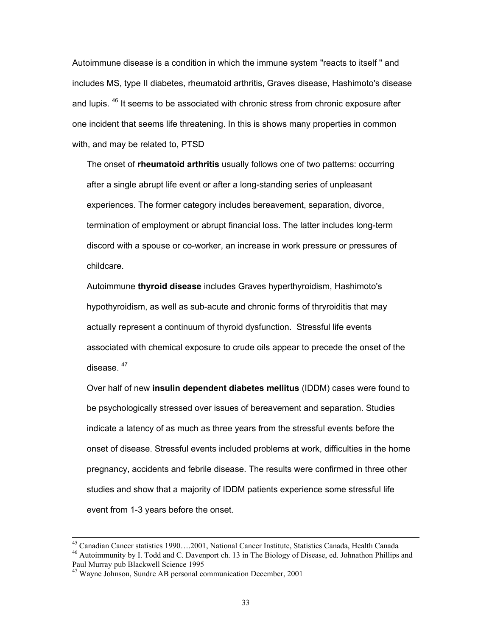Autoimmune disease is a condition in which the immune system "reacts to itself " and includes MS, type II diabetes, rheumatoid arthritis, Graves disease, Hashimoto's disease and lupis. <sup>46</sup> It seems to be associated with chronic stress from chronic exposure after one incident that seems life threatening. In this is shows many properties in common with, and may be related to, PTSD

The onset of **rheumatoid arthritis** usually follows one of two patterns: occurring after a single abrupt life event or after a long-standing series of unpleasant experiences. The former category includes bereavement, separation, divorce, termination of employment or abrupt financial loss. The latter includes long-term discord with a spouse or co-worker, an increase in work pressure or pressures of childcare.

Autoimmune **thyroid disease** includes Graves hyperthyroidism, Hashimoto's hypothyroidism, as well as sub-acute and chronic forms of thryroiditis that may actually represent a continuum of thyroid dysfunction. Stressful life events associated with chemical exposure to crude oils appear to precede the onset of the disease <sup>47</sup>

Over half of new **insulin dependent diabetes mellitus** (IDDM) cases were found to be psychologically stressed over issues of bereavement and separation. Studies indicate a latency of as much as three years from the stressful events before the onset of disease. Stressful events included problems at work, difficulties in the home pregnancy, accidents and febrile disease. The results were confirmed in three other studies and show that a majority of IDDM patients experience some stressful life event from 1-3 years before the onset.

 <sup>45</sup> Canadian Cancer statistics 1990….2001, National Cancer Institute, Statistics Canada, Health Canada

<sup>&</sup>lt;sup>46</sup> Autoimmunity by I. Todd and C. Davenport ch. 13 in The Biology of Disease, ed. Johnathon Phillips and Paul Murray pub Blackwell Science 1995

<sup>&</sup>lt;sup>47</sup> Wayne Johnson, Sundre AB personal communication December, 2001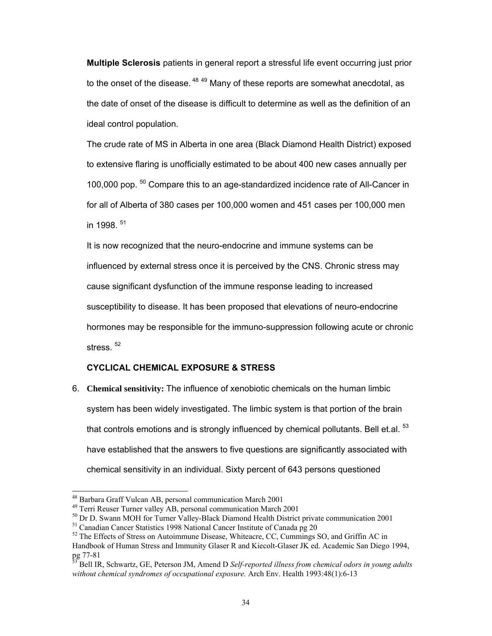**Multiple Sclerosis** patients in general report a stressful life event occurring just prior to the onset of the disease.  $48\,49}$  Many of these reports are somewhat anecdotal, as the date of onset of the disease is difficult to determine as well as the definition of an ideal control population.

The crude rate of MS in Alberta in one area (Black Diamond Health District) exposed to extensive flaring is unofficially estimated to be about 400 new cases annually per 100,000 pop. <sup>50</sup> Compare this to an age-standardized incidence rate of All-Cancer in for all of Alberta of 380 cases per 100,000 women and 451 cases per 100,000 men in 1998. <sup>51</sup>

It is now recognized that the neuro-endocrine and immune systems can be influenced by external stress once it is perceived by the CNS. Chronic stress may cause significant dysfunction of the immune response leading to increased susceptibility to disease. It has been proposed that elevations of neuro-endocrine hormones may be responsible for the immuno-suppression following acute or chronic stress.<sup>52</sup>

## **CYCLICAL CHEMICAL EXPOSURE & STRESS**

6. **Chemical sensitivity:** The influence of xenobiotic chemicals on the human limbic system has been widely investigated. The limbic system is that portion of the brain that controls emotions and is strongly influenced by chemical pollutants. Bell et.al.  $53$ have established that the answers to five questions are significantly associated with chemical sensitivity in an individual. Sixty percent of 643 persons questioned

<sup>&</sup>lt;sup>48</sup> Barbara Graff Vulcan AB, personal communication March 2001

<sup>49</sup> Terri Reuser Turner valley AB, personal communication March 2001

<sup>&</sup>lt;sup>50</sup> Dr D. Swann MOH for Turner Valley-Black Diamond Health District private communication 2001

<sup>&</sup>lt;sup>51</sup> Canadian Cancer Statistics 1998 National Cancer Institute of Canada pg 20

 $52$  The Effects of Stress on Autoimmune Disease, Whiteacre, CC, Cummings SO, and Griffin AC in Handbook of Human Stress and Immunity Glaser R and Kiecolt-Glaser JK ed. Academic San Diego 1994,  $pg$  77-81

<sup>53</sup> Bell IR, Schwartz, GE, Peterson JM, Amend D *Self-reported illness from chemical odors in young adults without chemical syndromes of occupational exposure.* Arch Env. Health 1993:48(1):6-13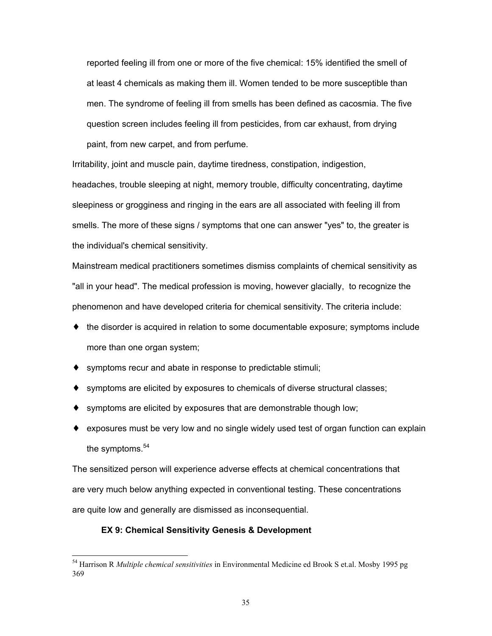reported feeling ill from one or more of the five chemical: 15% identified the smell of at least 4 chemicals as making them ill. Women tended to be more susceptible than men. The syndrome of feeling ill from smells has been defined as cacosmia. The five question screen includes feeling ill from pesticides, from car exhaust, from drying paint, from new carpet, and from perfume.

Irritability, joint and muscle pain, daytime tiredness, constipation, indigestion, headaches, trouble sleeping at night, memory trouble, difficulty concentrating, daytime sleepiness or grogginess and ringing in the ears are all associated with feeling ill from smells. The more of these signs / symptoms that one can answer "yes" to, the greater is the individual's chemical sensitivity.

Mainstream medical practitioners sometimes dismiss complaints of chemical sensitivity as "all in your head". The medical profession is moving, however glacially, to recognize the phenomenon and have developed criteria for chemical sensitivity. The criteria include:

- ♦ the disorder is acquired in relation to some documentable exposure; symptoms include more than one organ system;
- ♦ symptoms recur and abate in response to predictable stimuli;
- ♦ symptoms are elicited by exposures to chemicals of diverse structural classes;
- $\bullet$  symptoms are elicited by exposures that are demonstrable though low;
- ♦ exposures must be very low and no single widely used test of organ function can explain the symptoms. $54$

The sensitized person will experience adverse effects at chemical concentrations that are very much below anything expected in conventional testing. These concentrations are quite low and generally are dismissed as inconsequential.

## **EX 9: Chemical Sensitivity Genesis & Development**

<sup>54</sup> Harrison R *Multiple chemical sensitivities* in Environmental Medicine ed Brook S et.al. Mosby 1995 pg 369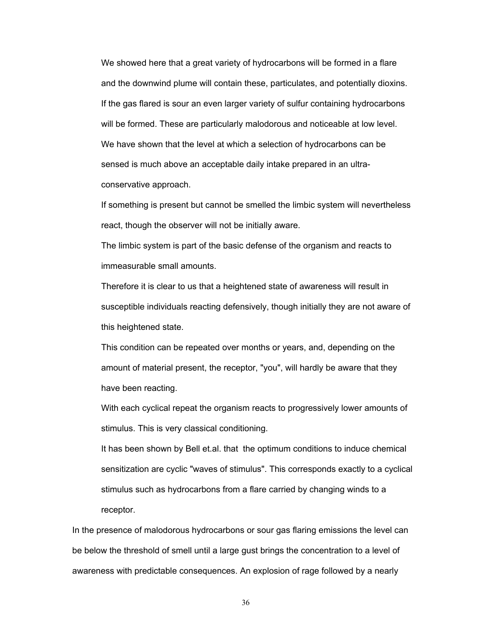We showed here that a great variety of hydrocarbons will be formed in a flare and the downwind plume will contain these, particulates, and potentially dioxins. If the gas flared is sour an even larger variety of sulfur containing hydrocarbons will be formed. These are particularly malodorous and noticeable at low level. We have shown that the level at which a selection of hydrocarbons can be sensed is much above an acceptable daily intake prepared in an ultraconservative approach.

If something is present but cannot be smelled the limbic system will nevertheless react, though the observer will not be initially aware.

The limbic system is part of the basic defense of the organism and reacts to immeasurable small amounts.

Therefore it is clear to us that a heightened state of awareness will result in susceptible individuals reacting defensively, though initially they are not aware of this heightened state.

This condition can be repeated over months or years, and, depending on the amount of material present, the receptor, "you", will hardly be aware that they have been reacting.

With each cyclical repeat the organism reacts to progressively lower amounts of stimulus. This is very classical conditioning.

It has been shown by Bell et.al. that the optimum conditions to induce chemical sensitization are cyclic "waves of stimulus". This corresponds exactly to a cyclical stimulus such as hydrocarbons from a flare carried by changing winds to a receptor.

In the presence of malodorous hydrocarbons or sour gas flaring emissions the level can be below the threshold of smell until a large gust brings the concentration to a level of awareness with predictable consequences. An explosion of rage followed by a nearly

36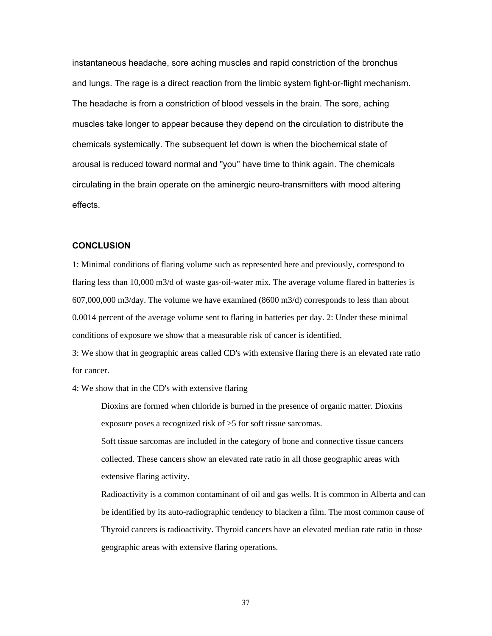instantaneous headache, sore aching muscles and rapid constriction of the bronchus and lungs. The rage is a direct reaction from the limbic system fight-or-flight mechanism. The headache is from a constriction of blood vessels in the brain. The sore, aching muscles take longer to appear because they depend on the circulation to distribute the chemicals systemically. The subsequent let down is when the biochemical state of arousal is reduced toward normal and "you" have time to think again. The chemicals circulating in the brain operate on the aminergic neuro-transmitters with mood altering effects.

#### **CONCLUSION**

1: Minimal conditions of flaring volume such as represented here and previously, correspond to flaring less than 10,000 m3/d of waste gas-oil-water mix. The average volume flared in batteries is 607,000,000 m3/day. The volume we have examined (8600 m3/d) corresponds to less than about 0.0014 percent of the average volume sent to flaring in batteries per day. 2: Under these minimal conditions of exposure we show that a measurable risk of cancer is identified.

3: We show that in geographic areas called CD's with extensive flaring there is an elevated rate ratio for cancer.

4: We show that in the CD's with extensive flaring

Dioxins are formed when chloride is burned in the presence of organic matter. Dioxins exposure poses a recognized risk of >5 for soft tissue sarcomas.

Soft tissue sarcomas are included in the category of bone and connective tissue cancers collected. These cancers show an elevated rate ratio in all those geographic areas with extensive flaring activity.

Radioactivity is a common contaminant of oil and gas wells. It is common in Alberta and can be identified by its auto-radiographic tendency to blacken a film. The most common cause of Thyroid cancers is radioactivity. Thyroid cancers have an elevated median rate ratio in those geographic areas with extensive flaring operations.